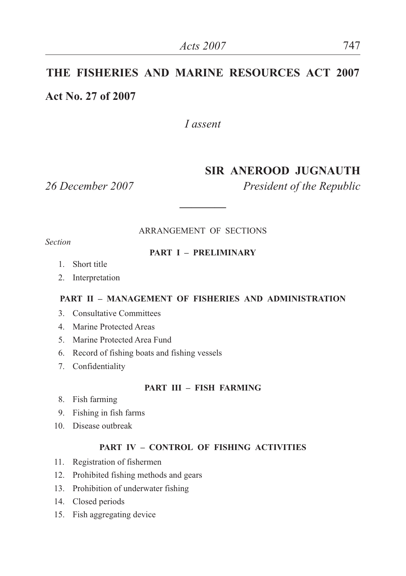# **THE FISHERIES AND MARINE RESOURCES ACT 2007 Act No. 27 of 2007**

*I assent*

### **SIR ANEROOD JUGNAUTH**

*26 December 2007 President of the Republic*

ARRANGEMENT OF SECTIONS

**————**

*Section*

#### **PART I – PRELIMINARY**

- 1. Short title
- 2. Interpretation

#### **PART II – MANAGEMENT OF FISHERIES AND ADMINISTRATION**

- 3. Consultative Committees
- 4. Marine Protected Areas
- 5. Marine Protected Area Fund
- 6. Record of fishing boats and fishing vessels
- 7. Confidentiality

#### **PART III – FISH FARMING**

- 8. Fish farming
- 9. Fishing in fish farms
- 10. Disease outbreak

#### **PART IV – CONTROL OF FISHING ACTIVITIES**

- 11. Registration of fishermen
- 12. Prohibited fishing methods and gears
- 13. Prohibition of underwater fishing
- 14. Closed periods
- 15. Fish aggregating device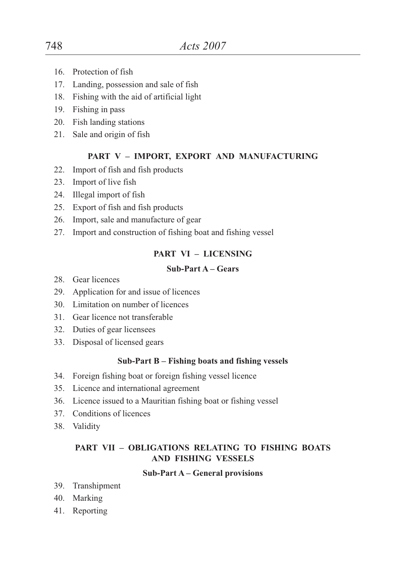- 16. Protection of fish
- 17. Landing, possession and sale of fish
- 18. Fishing with the aid of artificial light
- 19. Fishing in pass
- 20. Fish landing stations
- 21. Sale and origin of fish

#### **PART V – IMPORT, EXPORT AND MANUFACTURING**

- 22. Import of fish and fish products
- 23. Import of live fish
- 24. Illegal import of fish
- 25. Export of fish and fish products
- 26. Import, sale and manufacture of gear
- 27. Import and construction of fishing boat and fishing vessel

#### **PART VI – LICENSING**

#### **Sub-Part A – Gears**

- 28. Gear licences
- 29. Application for and issue of licences
- 30. Limitation on number of licences
- 31. Gear licence not transferable
- 32. Duties of gear licensees
- 33. Disposal of licensed gears

#### **Sub-Part B – Fishing boats and fishing vessels**

- 34. Foreign fishing boat or foreign fishing vessel licence
- 35. Licence and international agreement
- 36. Licence issued to a Mauritian fishing boat or fishing vessel
- 37. Conditions of licences
- 38. Validity

#### **PART VII – OBLIGATIONS RELATING TO FISHING BOATS AND FISHING VESSELS**

#### **Sub-Part A – General provisions**

- 39. Transhipment
- 40. Marking
- 41. Reporting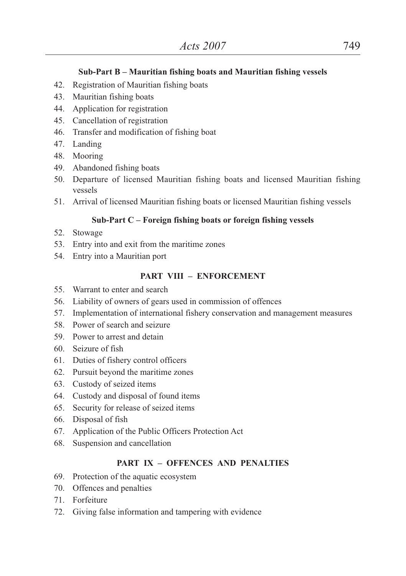#### **Sub-Part B – Mauritian fishing boats and Mauritian fishing vessels**

- 42. Registration of Mauritian fishing boats
- 43. Mauritian fishing boats
- 44. Application for registration
- 45. Cancellation of registration
- 46. Transfer and modification of fishing boat
- 47. Landing
- 48. Mooring
- 49. Abandoned fishing boats
- 50. Departure of licensed Mauritian fishing boats and licensed Mauritian fishing vessels
- 51. Arrival of licensed Mauritian fishing boats or licensed Mauritian fishing vessels

#### **Sub-Part C – Foreign fishing boats or foreign fishing vessels**

- 52. Stowage
- 53. Entry into and exit from the maritime zones
- 54. Entry into a Mauritian port

#### **PART VIII – ENFORCEMENT**

- 55. Warrant to enter and search
- 56. Liability of owners of gears used in commission of offences
- 57. Implementation of international fishery conservation and management measures
- 58. Power of search and seizure
- 59. Power to arrest and detain
- 60. Seizure of fish
- 61. Duties of fishery control officers
- 62. Pursuit beyond the maritime zones
- 63. Custody of seized items
- 64. Custody and disposal of found items
- 65. Security for release of seized items
- 66. Disposal of fish
- 67. Application of the Public Officers Protection Act
- 68. Suspension and cancellation

#### **PART IX – OFFENCES AND PENALTIES**

- 69. Protection of the aquatic ecosystem
- 70. Offences and penalties
- 71. Forfeiture
- 72. Giving false information and tampering with evidence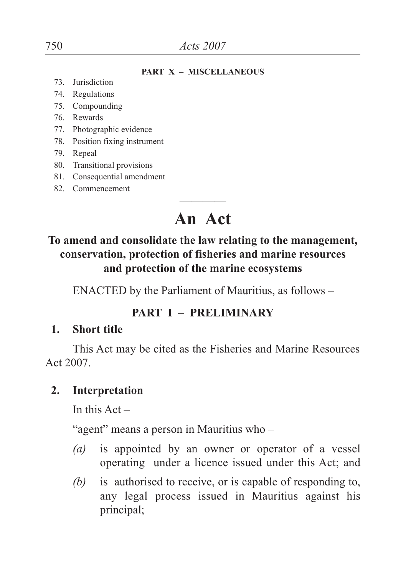#### **PART X – MISCELLANEOUS**

- 73. Jurisdiction
- 74. Regulations
- 75. Compounding
- 76. Rewards
- 77. Photographic evidence
- 78. Position fixing instrument
- 79. Repeal
- 80. Transitional provisions
- 81. Consequential amendment
- 82. Commencement

# ———— **An Act**

# **To amend and consolidate the law relating to the management, conservation, protection of fisheries and marine resources and protection of the marine ecosystems**

ENACTED by the Parliament of Mauritius, as follows –

# **PART I – PRELIMINARY**

#### **1. Short title**

This Act may be cited as the Fisheries and Marine Resources Act 2007.

### **2. Interpretation**

In this  $Act -$ 

"agent" means a person in Mauritius who –

- *(a)* is appointed by an owner or operator of a vessel operating under a licence issued under this Act; and
- *(b)* is authorised to receive, or is capable of responding to, any legal process issued in Mauritius against his principal;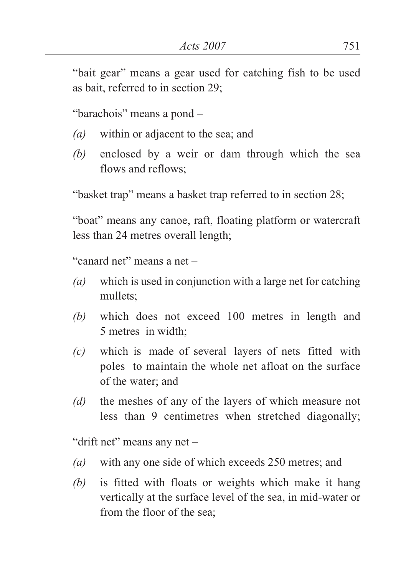"bait gear" means a gear used for catching fish to be used as bait, referred to in section 29;

"barachois" means a pond –

- *(a)* within or adjacent to the sea; and
- *(b)* enclosed by a weir or dam through which the sea flows and reflows;

"basket trap" means a basket trap referred to in section 28;

"boat" means any canoe, raft, floating platform or watercraft less than 24 metres overall length;

"canard net" means a net –

- *(a)* which is used in conjunction with a large net for catching mullets;
- *(b)* which does not exceed 100 metres in length and 5 metres in width;
- *(c)* which is made of several layers of nets fitted with poles to maintain the whole net afloat on the surface of the water; and
- *(d)* the meshes of any of the layers of which measure not less than 9 centimetres when stretched diagonally;

"drift net" means any net –

- *(a)* with any one side of which exceeds 250 metres; and
- *(b)* is fitted with floats or weights which make it hang vertically at the surface level of the sea, in mid-water or from the floor of the sea;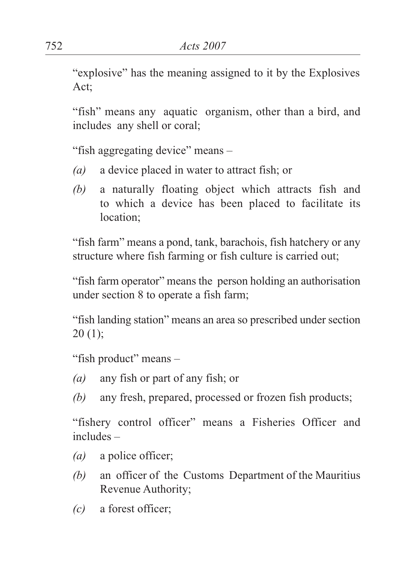"explosive" has the meaning assigned to it by the Explosives Act;

"fish" means any aquatic organism, other than a bird, and includes any shell or coral;

"fish aggregating device" means –

- *(a)* a device placed in water to attract fish; or
- *(b)* a naturally floating object which attracts fish and to which a device has been placed to facilitate its location;

"fish farm" means a pond, tank, barachois, fish hatchery or any structure where fish farming or fish culture is carried out;

"fish farm operator" means the person holding an authorisation under section 8 to operate a fish farm;

"fish landing station" means an area so prescribed under section  $20(1);$ 

"fish product" means –

- *(a)* any fish or part of any fish; or
- *(b)* any fresh, prepared, processed or frozen fish products;

"fishery control officer" means a Fisheries Officer and includes –

- *(a)* a police officer;
- *(b)* an officer of the Customs Department of the Mauritius Revenue Authority;
- *(c)* a forest officer;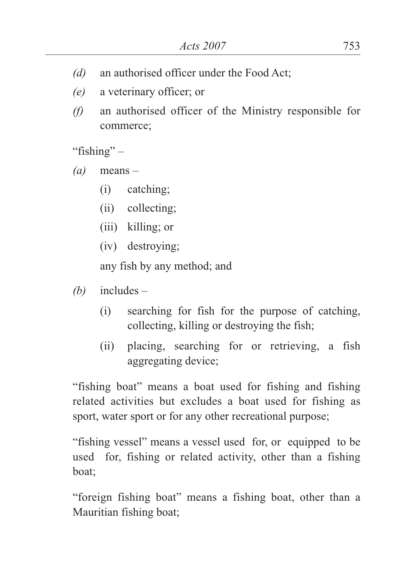- *(d)* an authorised officer under the Food Act;
- *(e)* a veterinary officer; or
- *(f)* an authorised officer of the Ministry responsible for commerce;

"fishing"  $-$ 

- *(a)* means
	- (i) catching;
	- (ii) collecting;
	- (iii) killing; or
	- (iv) destroying;

any fish by any method; and

- *(b)* includes
	- (i) searching for fish for the purpose of catching, collecting, killing or destroying the fish;
	- (ii) placing, searching for or retrieving, a fish aggregating device;

"fishing boat" means a boat used for fishing and fishing related activities but excludes a boat used for fishing as sport, water sport or for any other recreational purpose;

"fishing vessel" means a vessel used for, or equipped to be used for, fishing or related activity, other than a fishing boat;

"foreign fishing boat" means a fishing boat, other than a Mauritian fishing boat;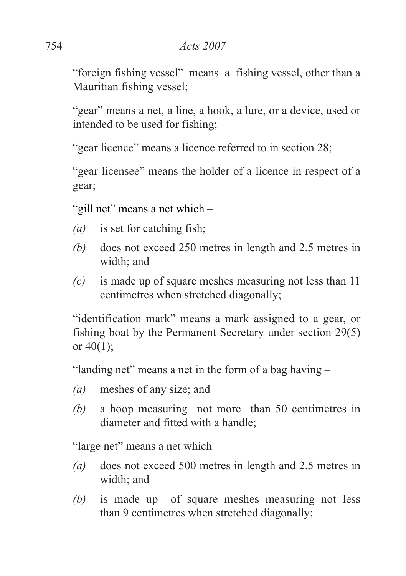"foreign fishing vessel" means a fishing vessel, other than a Mauritian fishing vessel;

"gear" means a net, a line, a hook, a lure, or a device, used or intended to be used for fishing;

"gear licence" means a licence referred to in section 28;

"gear licensee" means the holder of a licence in respect of a gear;

"gill net" means a net which -

- *(a)* is set for catching fish;
- *(b)* does not exceed 250 metres in length and 2.5 metres in width; and
- *(c)* is made up of square meshes measuring not less than 11 centimetres when stretched diagonally;

"identification mark" means a mark assigned to a gear, or fishing boat by the Permanent Secretary under section 29(5) or  $40(1)$ ;

"landing net" means a net in the form of a bag having –

- *(a)* meshes of any size; and
- *(b)* a hoop measuring not more than 50 centimetres in diameter and fitted with a handle;

"large net" means a net which –

- *(a)* does not exceed 500 metres in length and 2.5 metres in width; and
- *(b)* is made up of square meshes measuring not less than 9 centimetres when stretched diagonally;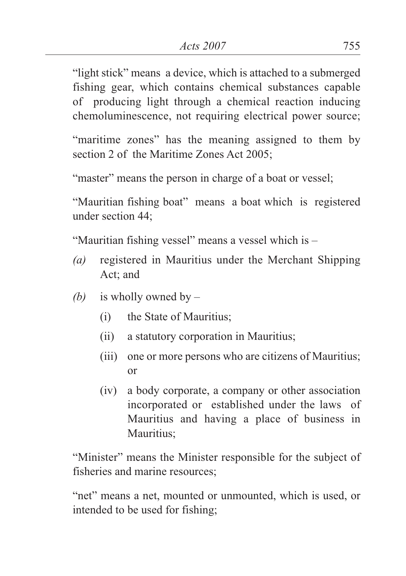"light stick" means a device, which is attached to a submerged fishing gear, which contains chemical substances capable of producing light through a chemical reaction inducing chemoluminescence, not requiring electrical power source;

"maritime zones" has the meaning assigned to them by section 2 of the Maritime Zones Act 2005;

"master" means the person in charge of a boat or vessel;

"Mauritian fishing boat" means a boat which is registered under section 44;

"Mauritian fishing vessel" means a vessel which is –

- *(a)* registered in Mauritius under the Merchant Shipping Act; and
- *(b)* is wholly owned by
	- (i) the State of Mauritius;
	- (ii) a statutory corporation in Mauritius;
	- (iii) one or more persons who are citizens of Mauritius; or
	- (iv) a body corporate, a company or other association incorporated or established under the laws of Mauritius and having a place of business in Mauritius;

"Minister" means the Minister responsible for the subject of fisheries and marine resources;

"net" means a net, mounted or unmounted, which is used, or intended to be used for fishing;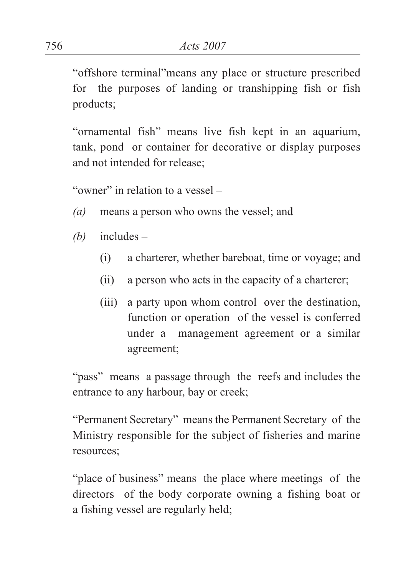"offshore terminal"means any place or structure prescribed for the purposes of landing or transhipping fish or fish products;

"ornamental fish" means live fish kept in an aquarium, tank, pond or container for decorative or display purposes and not intended for release;

"owner" in relation to a vessel –

- *(a)* means a person who owns the vessel; and
- *(b)* includes
	- (i) a charterer, whether bareboat, time or voyage; and
	- (ii) a person who acts in the capacity of a charterer;
	- (iii) a party upon whom control over the destination, function or operation of the vessel is conferred under a management agreement or a similar agreement;

"pass" means a passage through the reefs and includes the entrance to any harbour, bay or creek;

"Permanent Secretary" means the Permanent Secretary of the Ministry responsible for the subject of fisheries and marine resources;

"place of business" means the place where meetings of the directors of the body corporate owning a fishing boat or a fishing vessel are regularly held;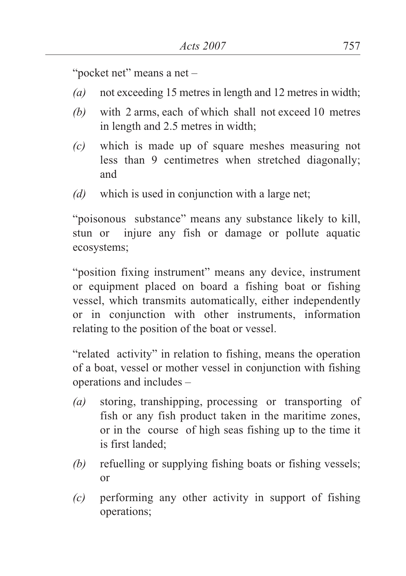"pocket net" means a net -

- *(a)* not exceeding 15 metres in length and 12 metres in width;
- *(b)* with 2 arms, each of which shall not exceed 10 metres in length and 2.5 metres in width;
- *(c)* which is made up of square meshes measuring not less than 9 centimetres when stretched diagonally; and
- *(d)* which is used in conjunction with a large net;

"poisonous substance" means any substance likely to kill, stun or injure any fish or damage or pollute aquatic ecosystems;

"position fixing instrument" means any device, instrument or equipment placed on board a fishing boat or fishing vessel, which transmits automatically, either independently or in conjunction with other instruments, information relating to the position of the boat or vessel.

"related activity" in relation to fishing, means the operation of a boat, vessel or mother vessel in conjunction with fishing operations and includes –

- *(a)* storing, transhipping, processing or transporting of fish or any fish product taken in the maritime zones, or in the course of high seas fishing up to the time it is first landed;
- *(b)* refuelling or supplying fishing boats or fishing vessels; or
- *(c)* performing any other activity in support of fishing operations;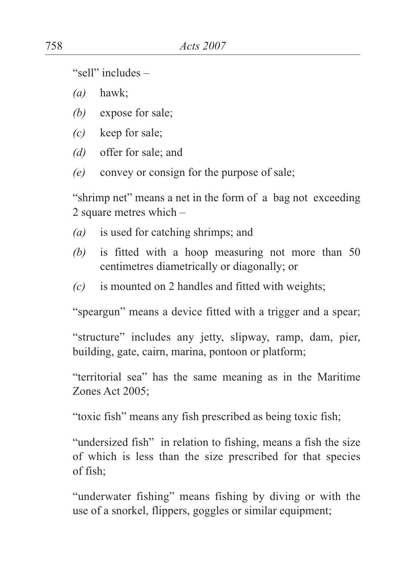"sell" includes –

*(a)* hawk;

- *(b)* expose for sale;
- *(c)* keep for sale;
- *(d)* offer for sale; and
- *(e)* convey or consign for the purpose of sale;

"shrimp net" means a net in the form of a bag not exceeding 2 square metres which –

- *(a)* is used for catching shrimps; and
- *(b)* is fitted with a hoop measuring not more than 50 centimetres diametrically or diagonally; or
- *(c)* is mounted on 2 handles and fitted with weights;

"speargun" means a device fitted with a trigger and a spear;

"structure" includes any jetty, slipway, ramp, dam, pier, building, gate, cairn, marina, pontoon or platform;

"territorial sea" has the same meaning as in the Maritime Zones Act 2005;

"toxic fish" means any fish prescribed as being toxic fish;

"undersized fish" in relation to fishing, means a fish the size of which is less than the size prescribed for that species of fish;

"underwater fishing" means fishing by diving or with the use of a snorkel, flippers, goggles or similar equipment;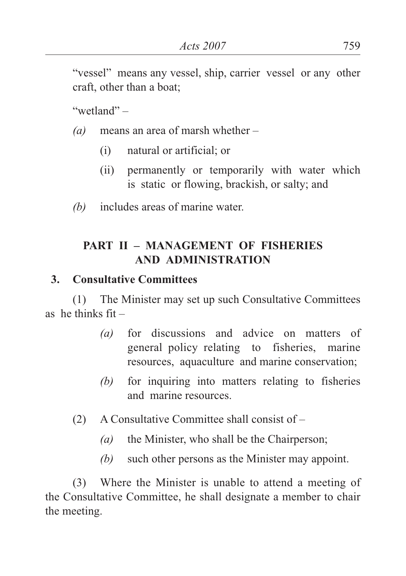"vessel" means any vessel, ship, carrier vessel or any other craft, other than a boat;

"wetland" –

- *(a)* means an area of marsh whether
	- (i) natural or artificial; or
	- (ii) permanently or temporarily with water which is static or flowing, brackish, or salty; and
- *(b)* includes areas of marine water.

### **PART II – MANAGEMENT OF FISHERIES AND ADMINISTRATION**

### **3. Consultative Committees**

(1) The Minister may set up such Consultative Committees as he thinks  $fit -$ 

- *(a)* for discussions and advice on matters of general policy relating to fisheries, marine resources, aquaculture and marine conservation;
- *(b)* for inquiring into matters relating to fisheries and marine resources.
- (2) A Consultative Committee shall consist of
	- *(a)* the Minister, who shall be the Chairperson;
	- *(b)* such other persons as the Minister may appoint.

(3) Where the Minister is unable to attend a meeting of the Consultative Committee, he shall designate a member to chair the meeting.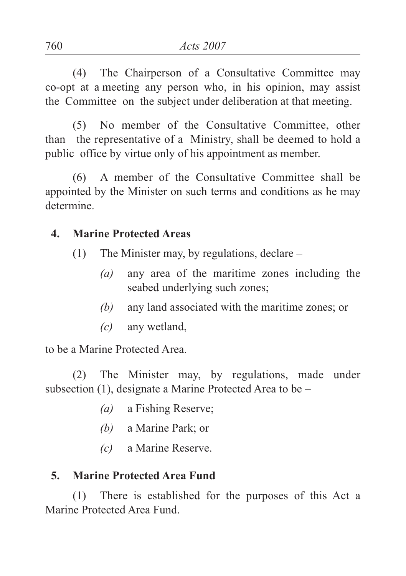(4) The Chairperson of a Consultative Committee may co-opt at a meeting any person who, in his opinion, may assist the Committee on the subject under deliberation at that meeting.

(5) No member of the Consultative Committee, other than the representative of a Ministry, shall be deemed to hold a public office by virtue only of his appointment as member.

(6) A member of the Consultative Committee shall be appointed by the Minister on such terms and conditions as he may determine.

#### **4. Marine Protected Areas**

- (1) The Minister may, by regulations, declare
	- *(a)* any area of the maritime zones including the seabed underlying such zones;
	- *(b)* any land associated with the maritime zones; or
	- *(c)* any wetland,

to be a Marine Protected Area.

(2) The Minister may, by regulations, made under subsection (1), designate a Marine Protected Area to be –

- *(a)* a Fishing Reserve;
- *(b)* a Marine Park; or
- *(c)* a Marine Reserve.

### **5. Marine Protected Area Fund**

(1) There is established for the purposes of this Act a Marine Protected Area Fund.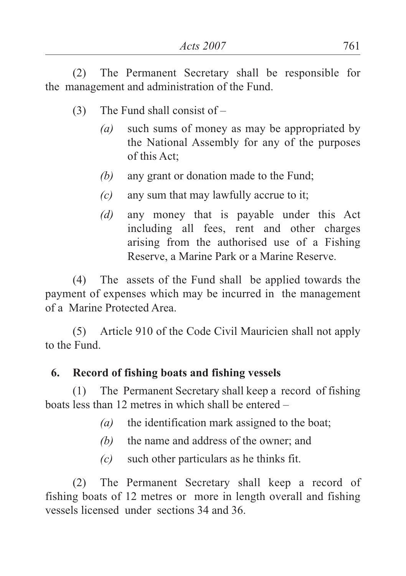(2) The Permanent Secretary shall be responsible for the management and administration of the Fund.

- (3) The Fund shall consist of
	- *(a)* such sums of money as may be appropriated by the National Assembly for any of the purposes of this Act;
	- *(b)* any grant or donation made to the Fund;
	- *(c)* any sum that may lawfully accrue to it;
	- *(d)* any money that is payable under this Act including all fees, rent and other charges arising from the authorised use of a Fishing Reserve, a Marine Park or a Marine Reserve.

(4) The assets of the Fund shall be applied towards the payment of expenses which may be incurred in the management of a Marine Protected Area.

(5) Article 910 of the Code Civil Mauricien shall not apply to the Fund.

### **6. Record of fishing boats and fishing vessels**

(1) The Permanent Secretary shall keep a record of fishing boats less than 12 metres in which shall be entered –

- *(a)* the identification mark assigned to the boat;
- *(b)* the name and address of the owner; and
- *(c)* such other particulars as he thinks fit.

(2) The Permanent Secretary shall keep a record of fishing boats of 12 metres or more in length overall and fishing vessels licensed under sections 34 and 36.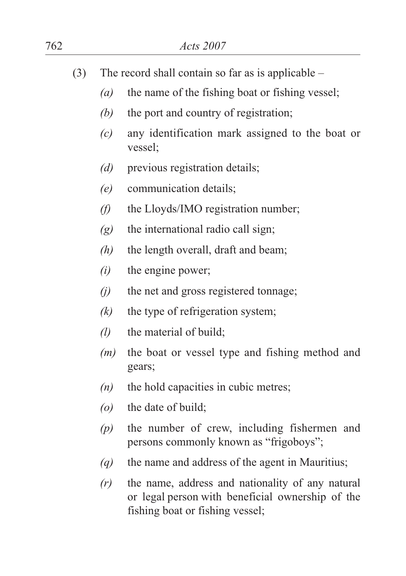| 762 | Acts 2007 |                                                      |                                                                                                      |
|-----|-----------|------------------------------------------------------|------------------------------------------------------------------------------------------------------|
|     | (3)       | The record shall contain so far as is applicable $-$ |                                                                                                      |
|     |           | $\left(a\right)$                                     | the name of the fishing boat or fishing vessel;                                                      |
|     |           | (b)                                                  | the port and country of registration;                                                                |
|     |           | (c)                                                  | any identification mark assigned to the boat or<br>vessel;                                           |
|     |           | (d)                                                  | previous registration details;                                                                       |
|     |           | (e)                                                  | communication details;                                                                               |
|     |           | $\theta$                                             | the Lloyds/IMO registration number;                                                                  |
|     |           | (g)                                                  | the international radio call sign;                                                                   |
|     |           | (h)                                                  | the length overall, draft and beam;                                                                  |
|     |           | (i)                                                  | the engine power;                                                                                    |
|     |           | (i)                                                  | the net and gross registered tonnage;                                                                |
|     |           | (k)                                                  | the type of refrigeration system;                                                                    |
|     |           | $\left( l\right)$                                    | the material of build;                                                                               |
|     |           | (m)                                                  | the boat or vessel type and fishing method and<br>gears;                                             |
|     |           | (n)                                                  | the hold capacities in cubic metres;                                                                 |
|     |           | $\left( o \right)$                                   | the date of build;                                                                                   |
|     |           | (p)                                                  | the number of crew, including fishermen and<br>persons commonly known as "frigoboys";                |
|     |           | $\left(\mathbf{q}\right)$                            | the name and address of the agent in Mauritius;                                                      |
|     |           | (r)                                                  | the name, address and nationality of any natural<br>or legal person with beneficial ownership of the |

fishing boat or fishing vessel;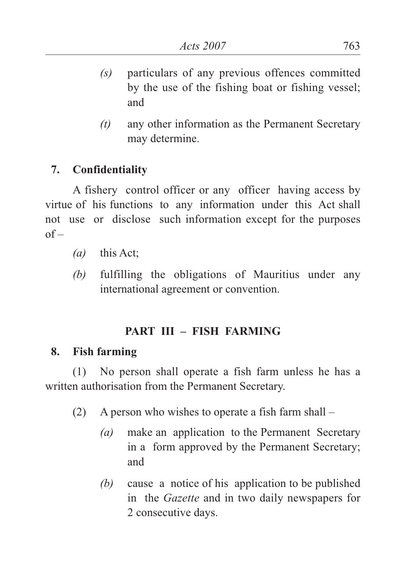- *(s)* particulars of any previous offences committed by the use of the fishing boat or fishing vessel; and
- *(t)* any other information as the Permanent Secretary may determine.

### **7. Confidentiality**

A fishery control officer or any officer having access by virtue of his functions to any information under this Act shall not use or disclose such information except for the purposes  $of –$ 

- *(a)* this Act;
- *(b)* fulfilling the obligations of Mauritius under any international agreement or convention.

# **PART III – FISH FARMING**

#### **8. Fish farming**

(1) No person shall operate a fish farm unless he has a written authorisation from the Permanent Secretary.

- (2) A person who wishes to operate a fish farm shall
	- *(a)* make an application to the Permanent Secretary in a form approved by the Permanent Secretary; and
	- *(b)* cause a notice of his application to be published in the *Gazette* and in two daily newspapers for 2 consecutive days.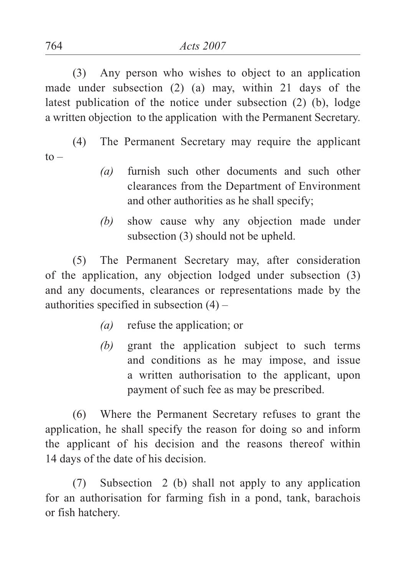(3) Any person who wishes to object to an application made under subsection (2) (a) may, within 21 days of the latest publication of the notice under subsection (2) (b), lodge a written objection to the application with the Permanent Secretary.

(4) The Permanent Secretary may require the applicant  $to -$ 

- *(a)* furnish such other documents and such other clearances from the Department of Environment and other authorities as he shall specify;
- *(b)* show cause why any objection made under subsection (3) should not be upheld.

(5) The Permanent Secretary may, after consideration of the application, any objection lodged under subsection (3) and any documents, clearances or representations made by the authorities specified in subsection  $(4)$  –

- *(a)* refuse the application; or
- *(b)* grant the application subject to such terms and conditions as he may impose, and issue a written authorisation to the applicant, upon payment of such fee as may be prescribed.

(6) Where the Permanent Secretary refuses to grant the application, he shall specify the reason for doing so and inform the applicant of his decision and the reasons thereof within 14 days of the date of his decision.

(7) Subsection 2 (b) shall not apply to any application for an authorisation for farming fish in a pond, tank, barachois or fish hatchery.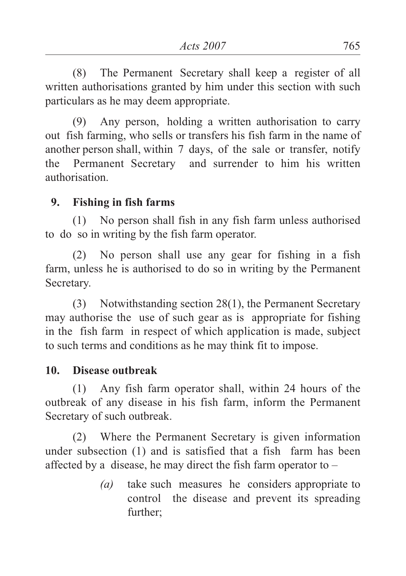(8) The Permanent Secretary shall keep a register of all written authorisations granted by him under this section with such particulars as he may deem appropriate.

(9) Any person, holding a written authorisation to carry out fish farming, who sells or transfers his fish farm in the name of another person shall, within 7 days, of the sale or transfer, notify the Permanent Secretary and surrender to him his written authorisation.

#### **9. Fishing in fish farms**

(1) No person shall fish in any fish farm unless authorised to do so in writing by the fish farm operator.

(2) No person shall use any gear for fishing in a fish farm, unless he is authorised to do so in writing by the Permanent Secretary.

(3) Notwithstanding section 28(1), the Permanent Secretary may authorise the use of such gear as is appropriate for fishing in the fish farm in respect of which application is made, subject to such terms and conditions as he may think fit to impose.

### **10. Disease outbreak**

(1) Any fish farm operator shall, within 24 hours of the outbreak of any disease in his fish farm, inform the Permanent Secretary of such outbreak.

(2) Where the Permanent Secretary is given information under subsection (1) and is satisfied that a fish farm has been affected by a disease, he may direct the fish farm operator to –

> *(a)* take such measures he considers appropriate to control the disease and prevent its spreading further;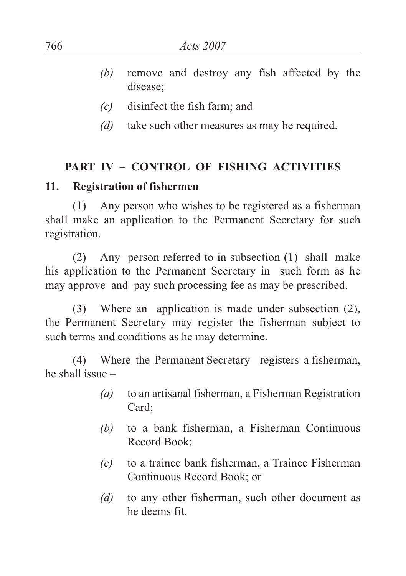- *(b)* remove and destroy any fish affected by the disease;
- *(c)* disinfect the fish farm; and
- *(d)* take such other measures as may be required.

#### **PART IV – CONTROL OF FISHING ACTIVITIES**

#### **11. Registration of fishermen**

(1) Any person who wishes to be registered as a fisherman shall make an application to the Permanent Secretary for such registration.

(2) Any person referred to in subsection (1) shall make his application to the Permanent Secretary in such form as he may approve and pay such processing fee as may be prescribed.

(3) Where an application is made under subsection (2), the Permanent Secretary may register the fisherman subject to such terms and conditions as he may determine.

(4) Where the Permanent Secretary registers a fisherman, he shall issue –

- *(a)* to an artisanal fisherman, a Fisherman Registration Card;
- *(b)* to a bank fisherman, a Fisherman Continuous Record Book;
- *(c)* to a trainee bank fisherman, a Trainee Fisherman Continuous Record Book; or
- *(d)* to any other fisherman, such other document as he deems fit.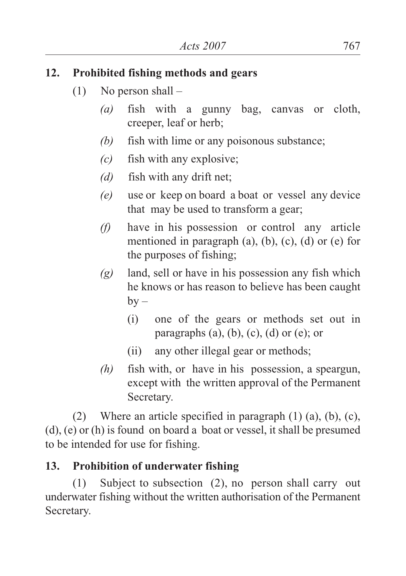#### **12. Prohibited fishing methods and gears**

- $(1)$  No person shall
	- *(a)* fish with a gunny bag, canvas or cloth, creeper, leaf or herb;
	- *(b)* fish with lime or any poisonous substance;
	- *(c)* fish with any explosive;
	- *(d)* fish with any drift net;
	- *(e)* use or keep on board a boat or vessel any device that may be used to transform a gear;
	- *(f)* have in his possession or control any article mentioned in paragraph  $(a)$ ,  $(b)$ ,  $(c)$ ,  $(d)$  or  $(e)$  for the purposes of fishing;
	- *(g)* land, sell or have in his possession any fish which he knows or has reason to believe has been caught  $by -$ 
		- (i) one of the gears or methods set out in paragraphs  $(a)$ ,  $(b)$ ,  $(c)$ ,  $(d)$  or  $(e)$ ; or
		- (ii) any other illegal gear or methods;
	- *(h)* fish with, or have in his possession, a speargun, except with the written approval of the Permanent Secretary.

(2) Where an article specified in paragraph (1) (a), (b), (c), (d), (e) or (h) is found on board a boat or vessel, it shall be presumed to be intended for use for fishing.

# **13. Prohibition of underwater fishing**

(1) Subject to subsection (2), no person shall carry out underwater fishing without the written authorisation of the Permanent Secretary.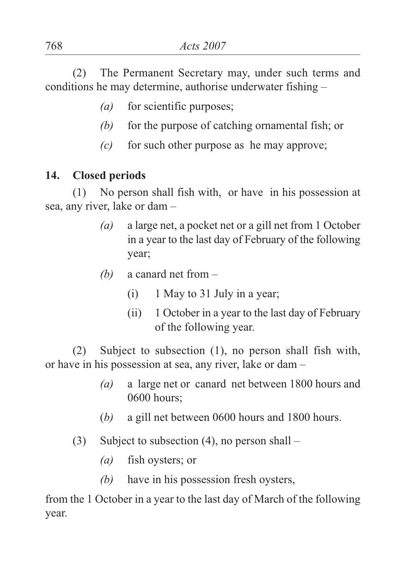(2) The Permanent Secretary may, under such terms and conditions he may determine, authorise underwater fishing –

- *(a)* for scientific purposes;
- *(b)* for the purpose of catching ornamental fish; or
- *(c)* for such other purpose as he may approve;

#### **14. Closed periods**

(1) No person shall fish with, or have in his possession at sea, any river, lake or dam –

- *(a)* a large net, a pocket net or a gill net from 1 October in a year to the last day of February of the following year;
- *(b)* a canard net from
	- (i) 1 May to 31 July in a year;
	- (ii) 1 October in a year to the last day of February of the following year.

(2) Subject to subsection (1), no person shall fish with, or have in his possession at sea, any river, lake or dam –

- *(a)* a large net or canard net between 1800 hours and 0600 hours;
- (*b)* a gill net between 0600 hours and 1800 hours.
- (3) Subject to subsection (4), no person shall
	- *(a)* fish oysters; or
	- *(b)* have in his possession fresh oysters,

from the 1 October in a year to the last day of March of the following year.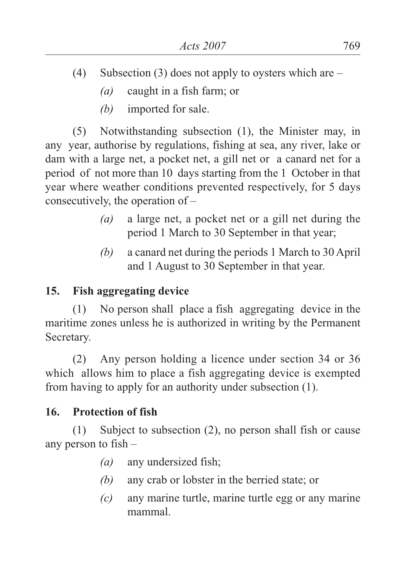- (4) Subsection (3) does not apply to oysters which are
	- *(a)* caught in a fish farm; or
	- *(b)* imported for sale.

(5) Notwithstanding subsection (1), the Minister may, in any year, authorise by regulations, fishing at sea, any river, lake or dam with a large net, a pocket net, a gill net or a canard net for a period of not more than 10 days starting from the 1 October in that year where weather conditions prevented respectively, for 5 days consecutively, the operation of –

- *(a)* a large net, a pocket net or a gill net during the period 1 March to 30 September in that year;
- *(b)* a canard net during the periods 1 March to 30 April and 1 August to 30 September in that year.

### **15. Fish aggregating device**

(1) No person shall place a fish aggregating device in the maritime zones unless he is authorized in writing by the Permanent Secretary.

(2) Any person holding a licence under section 34 or 36 which allows him to place a fish aggregating device is exempted from having to apply for an authority under subsection (1).

#### **16. Protection of fish**

(1) Subject to subsection (2), no person shall fish or cause any person to fish –

- *(a)* any undersized fish;
- *(b)* any crab or lobster in the berried state; or
- *(c)* any marine turtle, marine turtle egg or any marine mammal.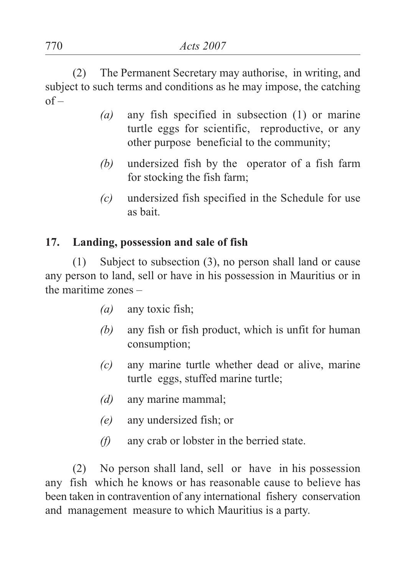(2) The Permanent Secretary may authorise, in writing, and subject to such terms and conditions as he may impose, the catching  $of –$ 

- *(a)* any fish specified in subsection (1) or marine turtle eggs for scientific, reproductive, or any other purpose beneficial to the community;
- *(b)* undersized fish by the operator of a fish farm for stocking the fish farm;
- *(c)* undersized fish specified in the Schedule for use as bait.

### **17. Landing, possession and sale of fish**

(1) Subject to subsection (3), no person shall land or cause any person to land, sell or have in his possession in Mauritius or in the maritime zones –

- *(a)* any toxic fish;
- *(b)* any fish or fish product, which is unfit for human consumption;
- *(c)* any marine turtle whether dead or alive, marine turtle eggs, stuffed marine turtle;
- *(d)* any marine mammal;
- *(e)* any undersized fish; or
- *(f)* any crab or lobster in the berried state.

(2) No person shall land, sell or have in his possession any fish which he knows or has reasonable cause to believe has been taken in contravention of any international fishery conservation and management measure to which Mauritius is a party.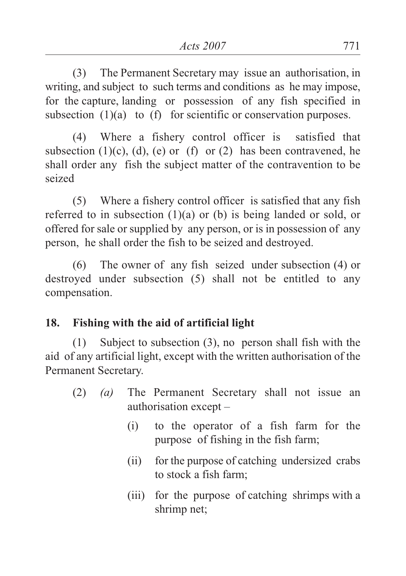(3) The Permanent Secretary may issue an authorisation, in writing, and subject to such terms and conditions as he may impose, for the capture, landing or possession of any fish specified in subsection (1)(a) to (f) for scientific or conservation purposes.

(4) Where a fishery control officer is satisfied that subsection  $(1)(c)$ ,  $(d)$ ,  $(e)$  or  $(f)$  or  $(2)$  has been contravened, he shall order any fish the subject matter of the contravention to be seized

(5) Where a fishery control officer is satisfied that any fish referred to in subsection (1)(a) or (b) is being landed or sold, or offered for sale or supplied by any person, or is in possession of any person, he shall order the fish to be seized and destroyed.

(6) The owner of any fish seized under subsection (4) or destroyed under subsection (5) shall not be entitled to any compensation.

# **18. Fishing with the aid of artificial light**

(1) Subject to subsection (3), no person shall fish with the aid of any artificial light, except with the written authorisation of the Permanent Secretary.

- (2) *(a)* The Permanent Secretary shall not issue an authorisation except –
	- (i) to the operator of a fish farm for the purpose of fishing in the fish farm;
	- (ii) for the purpose of catching undersized crabs to stock a fish farm;
	- (iii) for the purpose of catching shrimps with a shrimp net;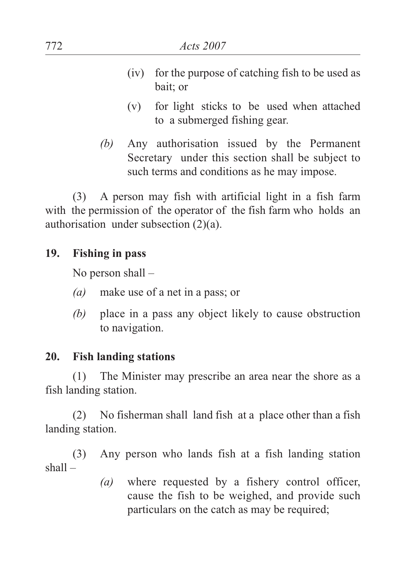- (iv) for the purpose of catching fish to be used as bait; or
- (v) for light sticks to be used when attached to a submerged fishing gear.
- *(b)* Any authorisation issued by the Permanent Secretary under this section shall be subject to such terms and conditions as he may impose.

(3) A person may fish with artificial light in a fish farm with the permission of the operator of the fish farm who holds an authorisation under subsection (2)(a).

#### **19. Fishing in pass**

No person shall –

- *(a)* make use of a net in a pass; or
- *(b)* place in a pass any object likely to cause obstruction to navigation.

#### **20. Fish landing stations**

(1) The Minister may prescribe an area near the shore as a fish landing station.

(2) No fisherman shall land fish at a place other than a fish landing station.

(3) Any person who lands fish at a fish landing station shall –

> *(a)* where requested by a fishery control officer, cause the fish to be weighed, and provide such particulars on the catch as may be required;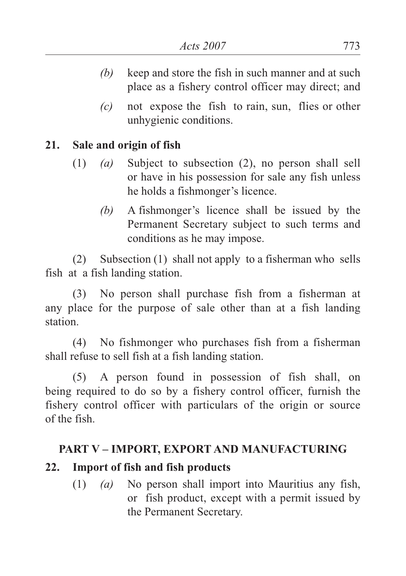- *(b)* keep and store the fish in such manner and at such place as a fishery control officer may direct; and
- *(c)* not expose the fish to rain, sun, flies or other unhygienic conditions.

### **21. Sale and origin of fish**

- (1) *(a)* Subject to subsection (2), no person shall sell or have in his possession for sale any fish unless he holds a fishmonger's licence.
	- *(b)* A fishmonger's licence shall be issued by the Permanent Secretary subject to such terms and conditions as he may impose.

(2) Subsection (1) shall not apply to a fisherman who sells fish at a fish landing station.

(3) No person shall purchase fish from a fisherman at any place for the purpose of sale other than at a fish landing station.

(4) No fishmonger who purchases fish from a fisherman shall refuse to sell fish at a fish landing station.

(5) A person found in possession of fish shall, on being required to do so by a fishery control officer, furnish the fishery control officer with particulars of the origin or source of the fish.

#### **PART V – IMPORT, EXPORT AND MANUFACTURING**

# **22. Import of fish and fish products**

(1) *(a)* No person shall import into Mauritius any fish, or fish product, except with a permit issued by the Permanent Secretary.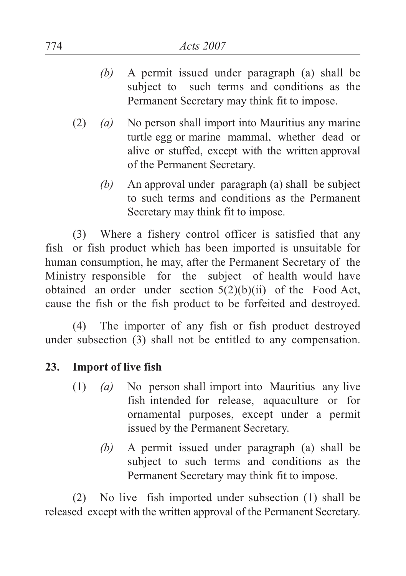- *(b)* A permit issued under paragraph (a) shall be subject to such terms and conditions as the Permanent Secretary may think fit to impose.
- (2) *(a)* No person shall import into Mauritius any marine turtle egg or marine mammal, whether dead or alive or stuffed, except with the written approval of the Permanent Secretary.
	- *(b)* An approval under paragraph (a) shall be subject to such terms and conditions as the Permanent Secretary may think fit to impose.

(3) Where a fishery control officer is satisfied that any fish or fish product which has been imported is unsuitable for human consumption, he may, after the Permanent Secretary of the Ministry responsible for the subject of health would have obtained an order under section 5(2)(b)(ii) of the Food Act, cause the fish or the fish product to be forfeited and destroyed.

(4) The importer of any fish or fish product destroyed under subsection (3) shall not be entitled to any compensation.

#### **23. Import of live fish**

- (1) *(a)* No person shall import into Mauritius any live fish intended for release, aquaculture or for ornamental purposes, except under a permit issued by the Permanent Secretary.
	- *(b)* A permit issued under paragraph (a) shall be subject to such terms and conditions as the Permanent Secretary may think fit to impose.

(2) No live fish imported under subsection (1) shall be released except with the written approval of the Permanent Secretary.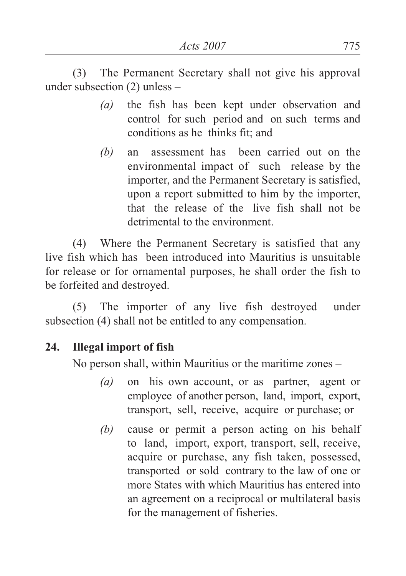(3) The Permanent Secretary shall not give his approval under subsection (2) unless –

- *(a)* the fish has been kept under observation and control for such period and on such terms and conditions as he thinks fit; and
- *(b)* an assessment has been carried out on the environmental impact of such release by the importer, and the Permanent Secretary is satisfied, upon a report submitted to him by the importer, that the release of the live fish shall not be detrimental to the environment.

(4) Where the Permanent Secretary is satisfied that any live fish which has been introduced into Mauritius is unsuitable for release or for ornamental purposes, he shall order the fish to be forfeited and destroyed.

(5) The importer of any live fish destroyed under subsection (4) shall not be entitled to any compensation.

### **24. Illegal import of fish**

No person shall, within Mauritius or the maritime zones –

- *(a)* on his own account, or as partner, agent or employee of another person, land, import, export, transport, sell, receive, acquire or purchase; or
- *(b)* cause or permit a person acting on his behalf to land, import, export, transport, sell, receive, acquire or purchase, any fish taken, possessed, transported or sold contrary to the law of one or more States with which Mauritius has entered into an agreement on a reciprocal or multilateral basis for the management of fisheries.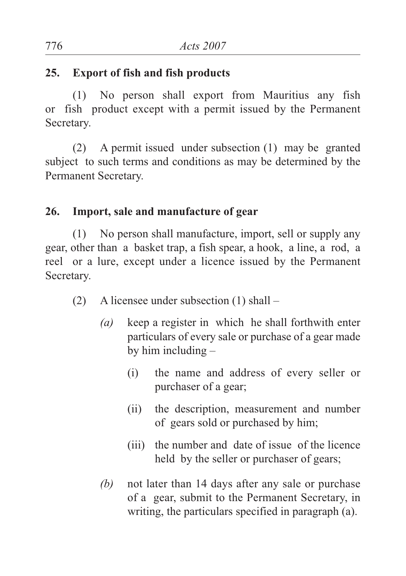#### **25. Export of fish and fish products**

(1) No person shall export from Mauritius any fish or fish product except with a permit issued by the Permanent Secretary.

(2) A permit issued under subsection (1) may be granted subject to such terms and conditions as may be determined by the Permanent Secretary.

#### **26. Import, sale and manufacture of gear**

(1) No person shall manufacture, import, sell or supply any gear, other than a basket trap, a fish spear, a hook, a line, a rod, a reel or a lure, except under a licence issued by the Permanent Secretary.

- (2) A licensee under subsection (1) shall
	- *(a)* keep a register in which he shall forthwith enter particulars of every sale or purchase of a gear made by him including –
		- (i) the name and address of every seller or purchaser of a gear;
		- (ii) the description, measurement and number of gears sold or purchased by him;
		- (iii) the number and date of issue of the licence held by the seller or purchaser of gears;
	- *(b)* not later than 14 days after any sale or purchase of a gear, submit to the Permanent Secretary, in writing, the particulars specified in paragraph (a).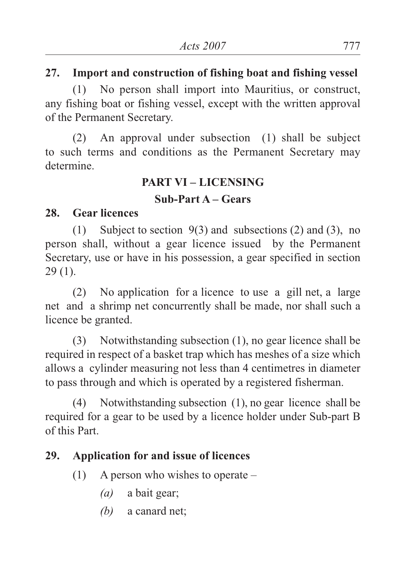### **27. Import and construction of fishing boat and fishing vessel**

(1) No person shall import into Mauritius, or construct, any fishing boat or fishing vessel, except with the written approval of the Permanent Secretary.

(2) An approval under subsection (1) shall be subject to such terms and conditions as the Permanent Secretary may determine.

### **PART VI – LICENSING**

#### **Sub-Part A – Gears**

#### **28. Gear licences**

(1) Subject to section 9(3) and subsections (2) and (3), no person shall, without a gear licence issued by the Permanent Secretary, use or have in his possession, a gear specified in section 29 (1).

(2) No application for a licence to use a gill net, a large net and a shrimp net concurrently shall be made, nor shall such a licence be granted.

(3) Notwithstanding subsection (1), no gear licence shall be required in respect of a basket trap which has meshes of a size which allows a cylinder measuring not less than 4 centimetres in diameter to pass through and which is operated by a registered fisherman.

(4) Notwithstanding subsection (1), no gear licence shall be required for a gear to be used by a licence holder under Sub-part B of this Part.

# **29. Application for and issue of licences**

- (1) A person who wishes to operate
	- *(a)* a bait gear;
	- *(b)* a canard net;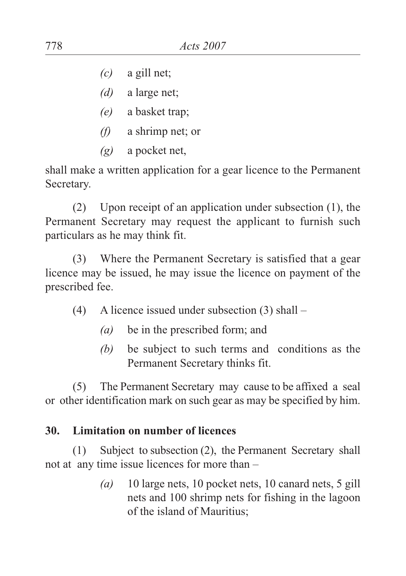- *(c)* a gill net;
- *(d)* a large net;
- *(e)* a basket trap;
- *(f)* a shrimp net; or
- *(g)* a pocket net,

shall make a written application for a gear licence to the Permanent Secretary.

(2) Upon receipt of an application under subsection (1), the Permanent Secretary may request the applicant to furnish such particulars as he may think fit.

(3) Where the Permanent Secretary is satisfied that a gear licence may be issued, he may issue the licence on payment of the prescribed fee.

- (4) A licence issued under subsection (3) shall
	- *(a)* be in the prescribed form; and
	- *(b)* be subject to such terms and conditions as the Permanent Secretary thinks fit.

(5) The Permanent Secretary may cause to be affixed a seal or other identification mark on such gear as may be specified by him.

### **30. Limitation on number of licences**

(1) Subject to subsection (2), the Permanent Secretary shall not at any time issue licences for more than –

> *(a)* 10 large nets, 10 pocket nets, 10 canard nets, 5 gill nets and 100 shrimp nets for fishing in the lagoon of the island of Mauritius;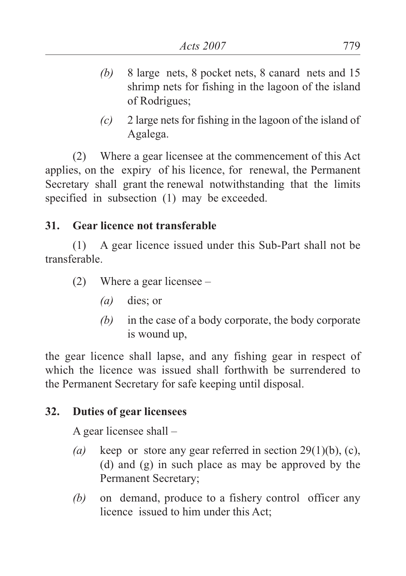- *(b)* 8 large nets, 8 pocket nets, 8 canard nets and 15 shrimp nets for fishing in the lagoon of the island of Rodrigues;
- *(c)* 2 large nets for fishing in the lagoon of the island of Agalega.

(2) Where a gear licensee at the commencement of this Act applies, on the expiry of his licence, for renewal, the Permanent Secretary shall grant the renewal notwithstanding that the limits specified in subsection (1) may be exceeded.

### **31. Gear licence not transferable**

(1) A gear licence issued under this Sub-Part shall not be transferable.

- (2) Where a gear licensee
	- *(a)* dies; or
	- *(b)* in the case of a body corporate, the body corporate is wound up,

the gear licence shall lapse, and any fishing gear in respect of which the licence was issued shall forthwith be surrendered to the Permanent Secretary for safe keeping until disposal.

# **32. Duties of gear licensees**

A gear licensee shall –

- *(a)* keep or store any gear referred in section 29(1)(b), (c), (d) and (g) in such place as may be approved by the Permanent Secretary;
- *(b)* on demand, produce to a fishery control officer any licence issued to him under this Act;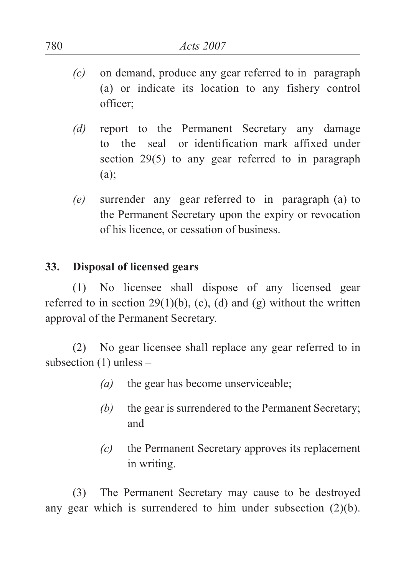- *(c)* on demand, produce any gear referred to in paragraph (a) or indicate its location to any fishery control officer;
- *(d)* report to the Permanent Secretary any damage to the seal or identification mark affixed under section 29(5) to any gear referred to in paragraph (a);
- *(e)* surrender any gear referred to in paragraph (a) to the Permanent Secretary upon the expiry or revocation of his licence, or cessation of business.

#### **33. Disposal of licensed gears**

(1) No licensee shall dispose of any licensed gear referred to in section  $29(1)(b)$ , (c), (d) and (g) without the written approval of the Permanent Secretary.

(2) No gear licensee shall replace any gear referred to in subsection  $(1)$  unless –

- *(a)* the gear has become unserviceable;
- *(b)* the gear is surrendered to the Permanent Secretary; and
- *(c)* the Permanent Secretary approves its replacement in writing.

(3) The Permanent Secretary may cause to be destroyed any gear which is surrendered to him under subsection (2)(b).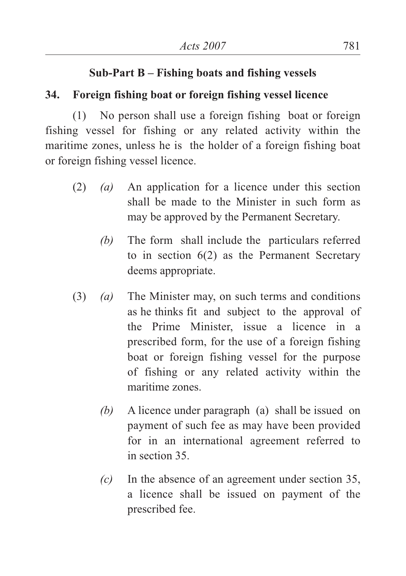#### **Sub-Part B – Fishing boats and fishing vessels**

#### **34. Foreign fishing boat or foreign fishing vessel licence**

(1) No person shall use a foreign fishing boat or foreign fishing vessel for fishing or any related activity within the maritime zones, unless he is the holder of a foreign fishing boat or foreign fishing vessel licence.

- (2) *(a)* An application for a licence under this section shall be made to the Minister in such form as may be approved by the Permanent Secretary.
	- *(b)* The form shall include the particulars referred to in section 6(2) as the Permanent Secretary deems appropriate.
- (3) *(a)* The Minister may, on such terms and conditions as he thinks fit and subject to the approval of the Prime Minister, issue a licence in a prescribed form, for the use of a foreign fishing boat or foreign fishing vessel for the purpose of fishing or any related activity within the maritime zones.
	- *(b)* A licence under paragraph (a) shall be issued on payment of such fee as may have been provided for in an international agreement referred to in section 35.
	- *(c)* In the absence of an agreement under section 35, a licence shall be issued on payment of the prescribed fee.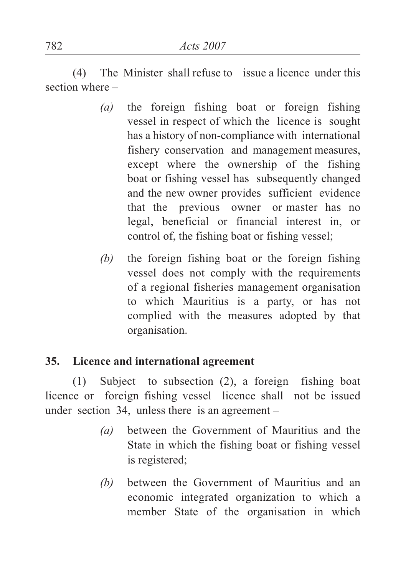(4) The Minister shall refuse to issue a licence under this section where –

- *(a)* the foreign fishing boat or foreign fishing vessel in respect of which the licence is sought has a history of non-compliance with international fishery conservation and management measures, except where the ownership of the fishing boat or fishing vessel has subsequently changed and the new owner provides sufficient evidence that the previous owner or master has no legal, beneficial or financial interest in, or control of, the fishing boat or fishing vessel;
- *(b)* the foreign fishing boat or the foreign fishing vessel does not comply with the requirements of a regional fisheries management organisation to which Mauritius is a party, or has not complied with the measures adopted by that organisation.

#### **35. Licence and international agreement**

(1) Subject to subsection (2), a foreign fishing boat licence or foreign fishing vessel licence shall not be issued under section 34, unless there is an agreement –

- *(a)* between the Government of Mauritius and the State in which the fishing boat or fishing vessel is registered;
- *(b)* between the Government of Mauritius and an economic integrated organization to which a member State of the organisation in which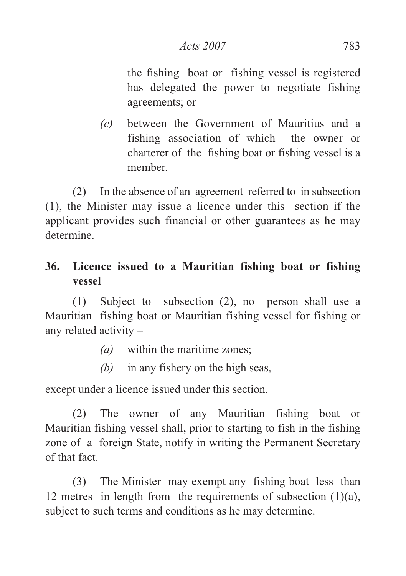the fishing boat or fishing vessel is registered has delegated the power to negotiate fishing agreements; or

*(c)* between the Government of Mauritius and a fishing association of which the owner or charterer of the fishing boat or fishing vessel is a member.

(2) In the absence of an agreement referred to in subsection (1), the Minister may issue a licence under this section if the applicant provides such financial or other guarantees as he may determine.

# **36. Licence issued to a Mauritian fishing boat or fishing vessel**

(1) Subject to subsection (2), no person shall use a Mauritian fishing boat or Mauritian fishing vessel for fishing or any related activity –

- *(a)* within the maritime zones;
- *(b)* in any fishery on the high seas,

except under a licence issued under this section.

(2) The owner of any Mauritian fishing boat or Mauritian fishing vessel shall, prior to starting to fish in the fishing zone of a foreign State, notify in writing the Permanent Secretary of that fact.

(3) The Minister may exempt any fishing boat less than 12 metres in length from the requirements of subsection  $(1)(a)$ , subject to such terms and conditions as he may determine.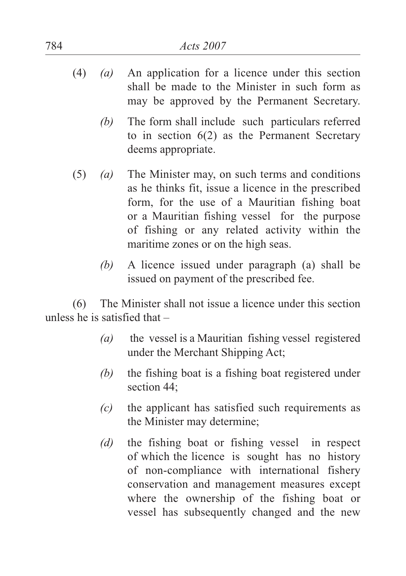- (4) *(a)* An application for a licence under this section shall be made to the Minister in such form as may be approved by the Permanent Secretary.
	- *(b)* The form shall include such particulars referred to in section 6(2) as the Permanent Secretary deems appropriate.
- (5) *(a)* The Minister may, on such terms and conditions as he thinks fit, issue a licence in the prescribed form, for the use of a Mauritian fishing boat or a Mauritian fishing vessel for the purpose of fishing or any related activity within the maritime zones or on the high seas.
	- *(b)* A licence issued under paragraph (a) shall be issued on payment of the prescribed fee.

(6) The Minister shall not issue a licence under this section unless he is satisfied that –

- *(a)* the vessel is a Mauritian fishing vessel registered under the Merchant Shipping Act;
- *(b)* the fishing boat is a fishing boat registered under section 44;
- *(c)* the applicant has satisfied such requirements as the Minister may determine;
- *(d)* the fishing boat or fishing vessel in respect of which the licence is sought has no history of non-compliance with international fishery conservation and management measures except where the ownership of the fishing boat or vessel has subsequently changed and the new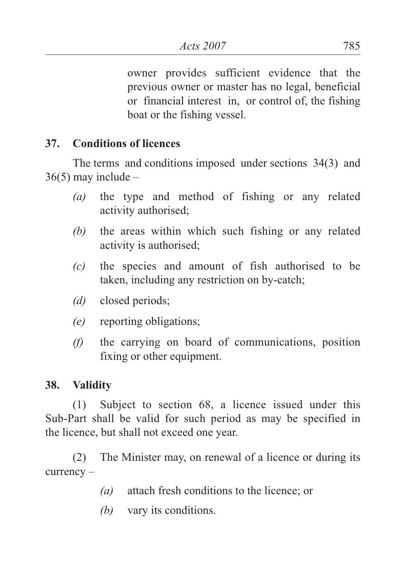owner provides sufficient evidence that the previous owner or master has no legal, beneficial or financial interest in, or control of, the fishing boat or the fishing vessel.

## **37. Conditions of licences**

The terms and conditions imposed under sections 34(3) and  $36(5)$  may include –

- *(a)* the type and method of fishing or any related activity authorised;
- *(b)* the areas within which such fishing or any related activity is authorised;
- *(c)* the species and amount of fish authorised to be taken, including any restriction on by-catch;
- *(d)* closed periods;
- *(e)* reporting obligations;
- *(f)* the carrying on board of communications, position fixing or other equipment.

#### **38. Validity**

(1) Subject to section 68, a licence issued under this Sub-Part shall be valid for such period as may be specified in the licence, but shall not exceed one year.

(2) The Minister may, on renewal of a licence or during its currency –

- *(a)* attach fresh conditions to the licence; or
- *(b)* vary its conditions.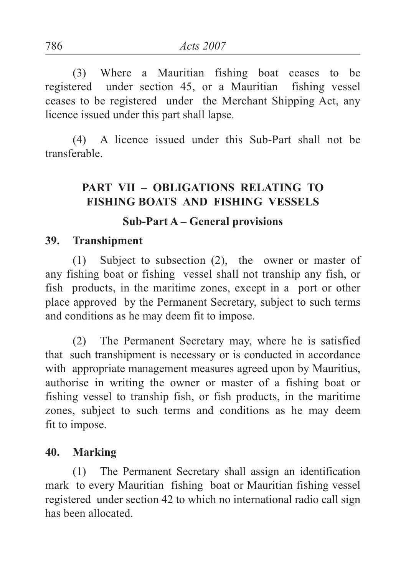(3) Where a Mauritian fishing boat ceases to be registered under section 45, or a Mauritian fishing vessel ceases to be registered under the Merchant Shipping Act, any licence issued under this part shall lapse.

(4) A licence issued under this Sub-Part shall not be transferable.

## **PART VII – OBLIGATIONS RELATING TO FISHING BOATS AND FISHING VESSELS**

## **Sub-Part A – General provisions**

#### **39. Transhipment**

(1) Subject to subsection (2), the owner or master of any fishing boat or fishing vessel shall not tranship any fish, or fish products, in the maritime zones, except in a port or other place approved by the Permanent Secretary, subject to such terms and conditions as he may deem fit to impose.

(2) The Permanent Secretary may, where he is satisfied that such transhipment is necessary or is conducted in accordance with appropriate management measures agreed upon by Mauritius, authorise in writing the owner or master of a fishing boat or fishing vessel to tranship fish, or fish products, in the maritime zones, subject to such terms and conditions as he may deem fit to impose.

#### **40. Marking**

(1) The Permanent Secretary shall assign an identification mark to every Mauritian fishing boat or Mauritian fishing vessel registered under section 42 to which no international radio call sign has been allocated.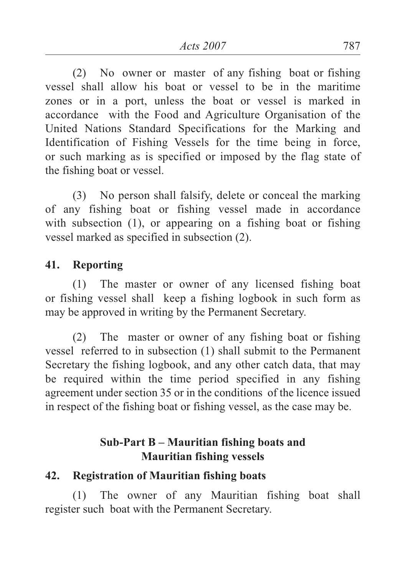(2) No owner or master of any fishing boat or fishing vessel shall allow his boat or vessel to be in the maritime zones or in a port, unless the boat or vessel is marked in accordance with the Food and Agriculture Organisation of the United Nations Standard Specifications for the Marking and Identification of Fishing Vessels for the time being in force, or such marking as is specified or imposed by the flag state of the fishing boat or vessel.

(3) No person shall falsify, delete or conceal the marking of any fishing boat or fishing vessel made in accordance with subsection (1), or appearing on a fishing boat or fishing vessel marked as specified in subsection (2).

## **41. Reporting**

(1) The master or owner of any licensed fishing boat or fishing vessel shall keep a fishing logbook in such form as may be approved in writing by the Permanent Secretary.

(2) The master or owner of any fishing boat or fishing vessel referred to in subsection (1) shall submit to the Permanent Secretary the fishing logbook, and any other catch data, that may be required within the time period specified in any fishing agreement under section 35 or in the conditions of the licence issued in respect of the fishing boat or fishing vessel, as the case may be.

## **Sub-Part B – Mauritian fishing boats and Mauritian fishing vessels**

## **42. Registration of Mauritian fishing boats**

(1) The owner of any Mauritian fishing boat shall register such boat with the Permanent Secretary.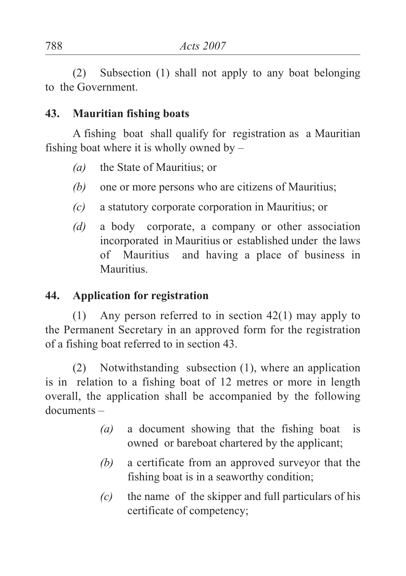(2) Subsection (1) shall not apply to any boat belonging to the Government.

## **43. Mauritian fishing boats**

A fishing boat shall qualify for registration as a Mauritian fishing boat where it is wholly owned by  $-$ 

- *(a)* the State of Mauritius; or
- *(b)* one or more persons who are citizens of Mauritius;
- *(c)* a statutory corporate corporation in Mauritius; or
- *(d)* a body corporate, a company or other association incorporated in Mauritius or established under the laws of Mauritius and having a place of business in **Mauritius**

# **44. Application for registration**

(1) Any person referred to in section 42(1) may apply to the Permanent Secretary in an approved form for the registration of a fishing boat referred to in section 43.

(2) Notwithstanding subsection (1), where an application is in relation to a fishing boat of 12 metres or more in length overall, the application shall be accompanied by the following documents –

- *(a)* a document showing that the fishing boat is owned or bareboat chartered by the applicant;
- *(b)* a certificate from an approved surveyor that the fishing boat is in a seaworthy condition;
- *(c)* the name of the skipper and full particulars of his certificate of competency;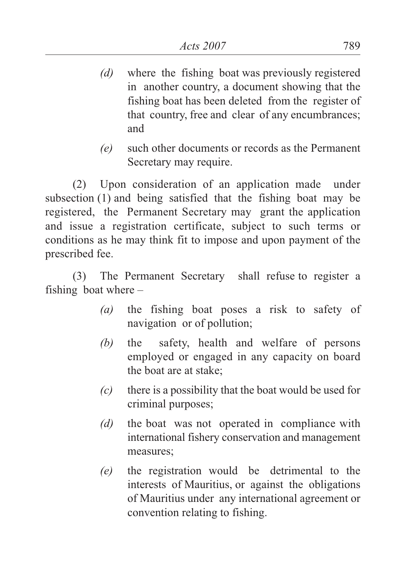- *(d)* where the fishing boat was previously registered in another country, a document showing that the fishing boat has been deleted from the register of that country, free and clear of any encumbrances; and
- *(e)* such other documents or records as the Permanent Secretary may require.

(2) Upon consideration of an application made under subsection (1) and being satisfied that the fishing boat may be registered, the Permanent Secretary may grant the application and issue a registration certificate, subject to such terms or conditions as he may think fit to impose and upon payment of the prescribed fee.

(3) The Permanent Secretary shall refuse to register a fishing boat where –

- *(a)* the fishing boat poses a risk to safety of navigation or of pollution;
- *(b)* the safety, health and welfare of persons employed or engaged in any capacity on board the boat are at stake;
- *(c)* there is a possibility that the boat would be used for criminal purposes;
- *(d)* the boat was not operated in compliance with international fishery conservation and management measures;
- *(e)* the registration would be detrimental to the interests of Mauritius, or against the obligations of Mauritius under any international agreement or convention relating to fishing.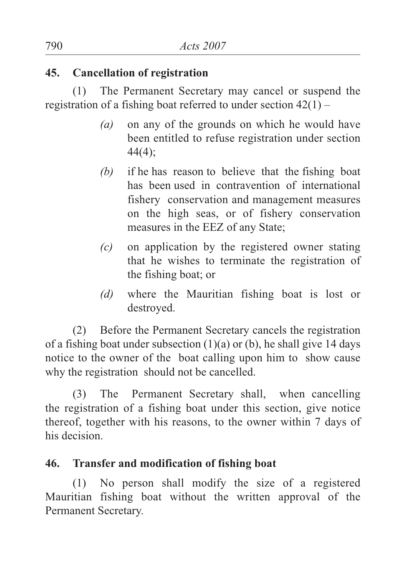## **45. Cancellation of registration**

(1) The Permanent Secretary may cancel or suspend the registration of a fishing boat referred to under section 42(1) –

- *(a)* on any of the grounds on which he would have been entitled to refuse registration under section 44(4);
- *(b)* if he has reason to believe that the fishing boat has been used in contravention of international fishery conservation and management measures on the high seas, or of fishery conservation measures in the EEZ of any State;
- *(c)* on application by the registered owner stating that he wishes to terminate the registration of the fishing boat; or
- *(d)* where the Mauritian fishing boat is lost or destroyed.

(2) Before the Permanent Secretary cancels the registration of a fishing boat under subsection  $(1)(a)$  or  $(b)$ , he shall give 14 days notice to the owner of the boat calling upon him to show cause why the registration should not be cancelled.

(3) The Permanent Secretary shall, when cancelling the registration of a fishing boat under this section, give notice thereof, together with his reasons, to the owner within 7 days of his decision.

# **46. Transfer and modification of fishing boat**

(1) No person shall modify the size of a registered Mauritian fishing boat without the written approval of the Permanent Secretary.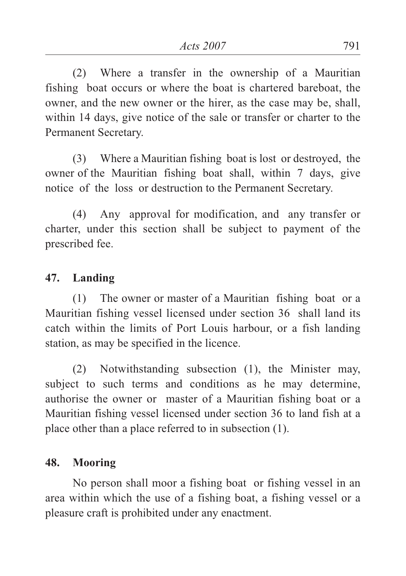(2) Where a transfer in the ownership of a Mauritian fishing boat occurs or where the boat is chartered bareboat, the owner, and the new owner or the hirer, as the case may be, shall, within 14 days, give notice of the sale or transfer or charter to the Permanent Secretary.

(3) Where a Mauritian fishing boat is lost or destroyed, the owner of the Mauritian fishing boat shall, within 7 days, give notice of the loss or destruction to the Permanent Secretary.

(4) Any approval for modification, and any transfer or charter, under this section shall be subject to payment of the prescribed fee.

## **47. Landing**

(1) The owner or master of a Mauritian fishing boat or a Mauritian fishing vessel licensed under section 36 shall land its catch within the limits of Port Louis harbour, or a fish landing station, as may be specified in the licence.

(2) Notwithstanding subsection (1), the Minister may, subject to such terms and conditions as he may determine, authorise the owner or master of a Mauritian fishing boat or a Mauritian fishing vessel licensed under section 36 to land fish at a place other than a place referred to in subsection (1).

# **48. Mooring**

No person shall moor a fishing boat or fishing vessel in an area within which the use of a fishing boat, a fishing vessel or a pleasure craft is prohibited under any enactment.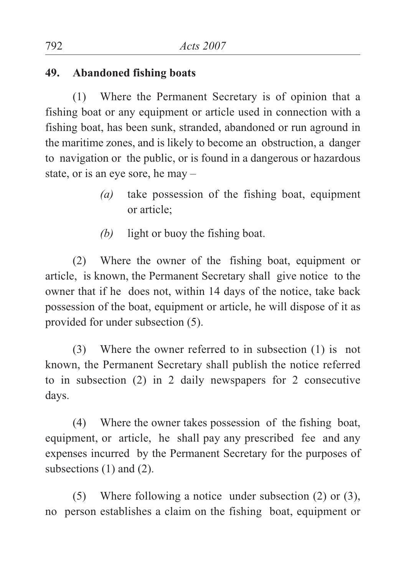## **49. Abandoned fishing boats**

(1) Where the Permanent Secretary is of opinion that a fishing boat or any equipment or article used in connection with a fishing boat, has been sunk, stranded, abandoned or run aground in the maritime zones, and is likely to become an obstruction, a danger to navigation or the public, or is found in a dangerous or hazardous state, or is an eye sore, he may –

- *(a)* take possession of the fishing boat, equipment or article;
- *(b)* light or buoy the fishing boat.

(2) Where the owner of the fishing boat, equipment or article, is known, the Permanent Secretary shall give notice to the owner that if he does not, within 14 days of the notice, take back possession of the boat, equipment or article, he will dispose of it as provided for under subsection (5).

(3) Where the owner referred to in subsection (1) is not known, the Permanent Secretary shall publish the notice referred to in subsection (2) in 2 daily newspapers for 2 consecutive days.

(4) Where the owner takes possession of the fishing boat, equipment, or article, he shall pay any prescribed fee and any expenses incurred by the Permanent Secretary for the purposes of subsections (1) and (2).

(5) Where following a notice under subsection (2) or (3), no person establishes a claim on the fishing boat, equipment or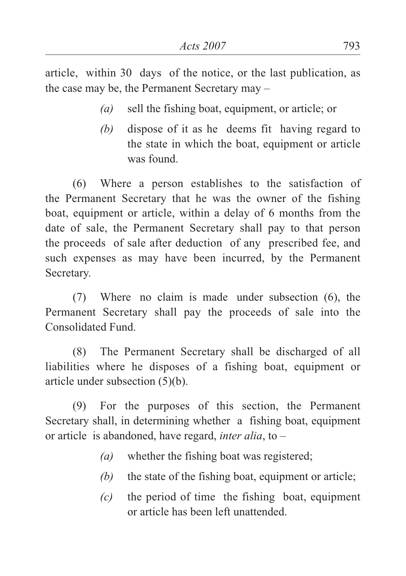article, within 30 days of the notice, or the last publication, as the case may be, the Permanent Secretary may –

- *(a)* sell the fishing boat, equipment, or article; or
- *(b)* dispose of it as he deems fit having regard to the state in which the boat, equipment or article was found.

(6) Where a person establishes to the satisfaction of the Permanent Secretary that he was the owner of the fishing boat, equipment or article, within a delay of 6 months from the date of sale, the Permanent Secretary shall pay to that person the proceeds of sale after deduction of any prescribed fee, and such expenses as may have been incurred, by the Permanent Secretary.

(7) Where no claim is made under subsection (6), the Permanent Secretary shall pay the proceeds of sale into the Consolidated Fund.

(8) The Permanent Secretary shall be discharged of all liabilities where he disposes of a fishing boat, equipment or article under subsection (5)(b).

(9) For the purposes of this section, the Permanent Secretary shall, in determining whether a fishing boat, equipment or article is abandoned, have regard, *inter alia*, to –

- *(a)* whether the fishing boat was registered;
- *(b)* the state of the fishing boat, equipment or article;
- *(c)* the period of time the fishing boat, equipment or article has been left unattended.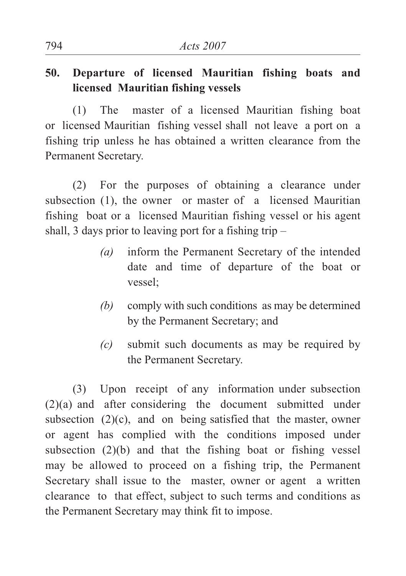# **50. Departure of licensed Mauritian fishing boats and licensed Mauritian fishing vessels**

(1) The master of a licensed Mauritian fishing boat or licensed Mauritian fishing vessel shall not leave a port on a fishing trip unless he has obtained a written clearance from the Permanent Secretary.

(2) For the purposes of obtaining a clearance under subsection (1), the owner or master of a licensed Mauritian fishing boat or a licensed Mauritian fishing vessel or his agent shall, 3 days prior to leaving port for a fishing trip  $-$ 

- *(a)* inform the Permanent Secretary of the intended date and time of departure of the boat or vessel;
- *(b)* comply with such conditions as may be determined by the Permanent Secretary; and
- *(c)* submit such documents as may be required by the Permanent Secretary.

(3) Upon receipt of any information under subsection (2)(a) and after considering the document submitted under subsection (2)(c), and on being satisfied that the master, owner or agent has complied with the conditions imposed under subsection (2)(b) and that the fishing boat or fishing vessel may be allowed to proceed on a fishing trip, the Permanent Secretary shall issue to the master, owner or agent a written clearance to that effect, subject to such terms and conditions as the Permanent Secretary may think fit to impose.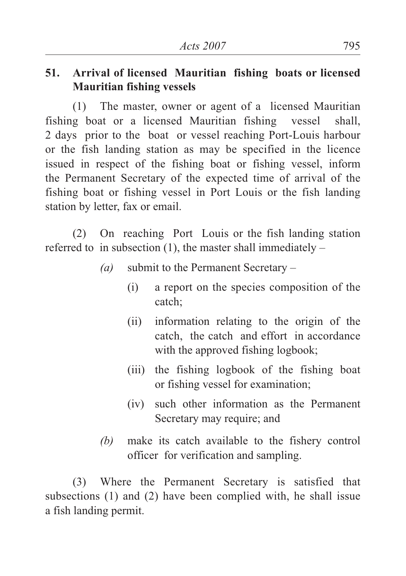# **51. Arrival of licensed Mauritian fishing boats or licensed Mauritian fishing vessels**

(1) The master, owner or agent of a licensed Mauritian fishing boat or a licensed Mauritian fishing vessel shall, 2 days prior to the boat or vessel reaching Port-Louis harbour or the fish landing station as may be specified in the licence issued in respect of the fishing boat or fishing vessel, inform the Permanent Secretary of the expected time of arrival of the fishing boat or fishing vessel in Port Louis or the fish landing station by letter, fax or email.

(2) On reaching Port Louis or the fish landing station referred to in subsection  $(1)$ , the master shall immediately –

- *(a)* submit to the Permanent Secretary
	- (i) a report on the species composition of the catch;
	- (ii) information relating to the origin of the catch, the catch and effort in accordance with the approved fishing logbook;
	- (iii) the fishing logbook of the fishing boat or fishing vessel for examination;
	- (iv) such other information as the Permanent Secretary may require; and
- *(b)* make its catch available to the fishery control officer for verification and sampling.

(3) Where the Permanent Secretary is satisfied that subsections (1) and (2) have been complied with, he shall issue a fish landing permit.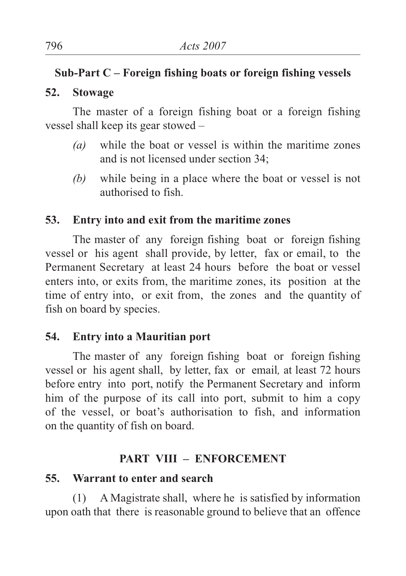# **Sub-Part C – Foreign fishing boats or foreign fishing vessels**

# **52. Stowage**

The master of a foreign fishing boat or a foreign fishing vessel shall keep its gear stowed –

- *(a)* while the boat or vessel is within the maritime zones and is not licensed under section 34;
- *(b)* while being in a place where the boat or vessel is not authorised to fish.

# **53. Entry into and exit from the maritime zones**

The master of any foreign fishing boat or foreign fishing vessel or his agent shall provide, by letter, fax or email, to the Permanent Secretary at least 24 hours before the boat or vessel enters into, or exits from, the maritime zones, its position at the time of entry into, or exit from, the zones and the quantity of fish on board by species.

# **54. Entry into a Mauritian port**

The master of any foreign fishing boat or foreign fishing vessel or his agent shall, by letter, fax or email*,* at least 72 hours before entry into port, notify the Permanent Secretary and inform him of the purpose of its call into port, submit to him a copy of the vessel, or boat's authorisation to fish, and information on the quantity of fish on board.

# **PART VIII – ENFORCEMENT**

# **55. Warrant to enter and search**

(1) A Magistrate shall, where he is satisfied by information upon oath that there is reasonable ground to believe that an offence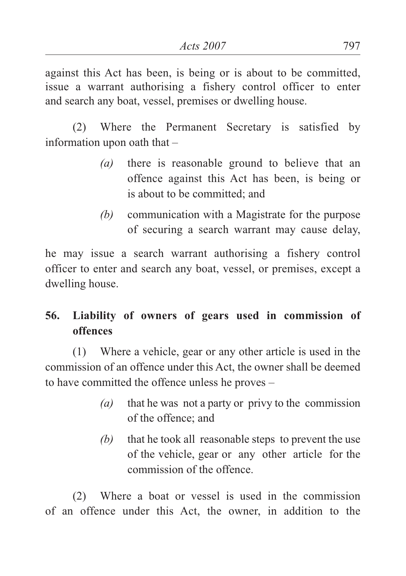against this Act has been, is being or is about to be committed, issue a warrant authorising a fishery control officer to enter and search any boat, vessel, premises or dwelling house.

(2) Where the Permanent Secretary is satisfied by information upon oath that –

- *(a)* there is reasonable ground to believe that an offence against this Act has been, is being or is about to be committed; and
- *(b)* communication with a Magistrate for the purpose of securing a search warrant may cause delay,

he may issue a search warrant authorising a fishery control officer to enter and search any boat, vessel, or premises, except a dwelling house.

# **56. Liability of owners of gears used in commission of offences**

(1) Where a vehicle, gear or any other article is used in the commission of an offence under this Act, the owner shall be deemed to have committed the offence unless he proves –

- *(a)* that he was not a party or privy to the commission of the offence; and
- *(b)* that he took all reasonable steps to prevent the use of the vehicle, gear or any other article for the commission of the offence.

(2) Where a boat or vessel is used in the commission of an offence under this Act, the owner, in addition to the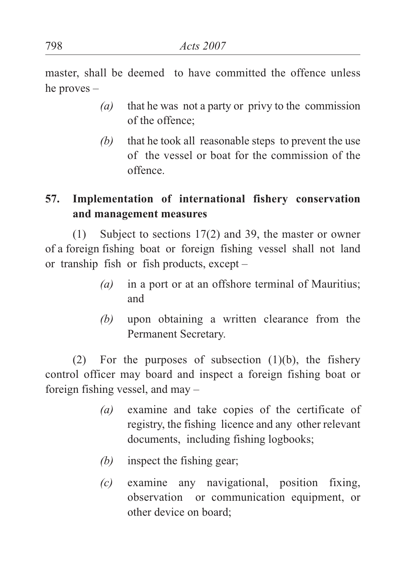master, shall be deemed to have committed the offence unless he proves –

- *(a)* that he was not a party or privy to the commission of the offence;
- *(b)* that he took all reasonable steps to prevent the use of the vessel or boat for the commission of the offence.

# **57. Implementation of international fishery conservation and management measures**

(1) Subject to sections 17(2) and 39, the master or owner of a foreign fishing boat or foreign fishing vessel shall not land or tranship fish or fish products, except –

- *(a)* in a port or at an offshore terminal of Mauritius; and
- *(b)* upon obtaining a written clearance from the Permanent Secretary.

(2) For the purposes of subsection  $(1)(b)$ , the fishery control officer may board and inspect a foreign fishing boat or foreign fishing vessel, and may –

- *(a)* examine and take copies of the certificate of registry, the fishing licence and any other relevant documents, including fishing logbooks;
- *(b)* inspect the fishing gear;
- *(c)* examine any navigational, position fixing, observation or communication equipment, or other device on board;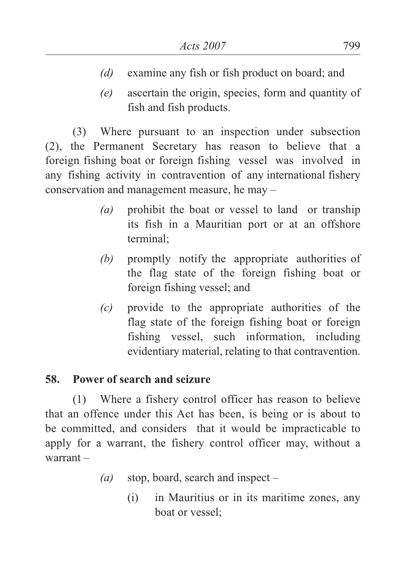- *(d)* examine any fish or fish product on board; and
- *(e)* ascertain the origin, species, form and quantity of fish and fish products.

(3) Where pursuant to an inspection under subsection (2), the Permanent Secretary has reason to believe that a foreign fishing boat or foreign fishing vessel was involved in any fishing activity in contravention of any international fishery conservation and management measure, he may –

- *(a)* prohibit the boat or vessel to land or tranship its fish in a Mauritian port or at an offshore terminal;
- *(b)* promptly notify the appropriate authorities of the flag state of the foreign fishing boat or foreign fishing vessel; and
- *(c)* provide to the appropriate authorities of the flag state of the foreign fishing boat or foreign fishing vessel, such information, including evidentiary material, relating to that contravention.

# **58. Power of search and seizure**

(1) Where a fishery control officer has reason to believe that an offence under this Act has been, is being or is about to be committed, and considers that it would be impracticable to apply for a warrant, the fishery control officer may, without a warrant –

- *(a)* stop, board, search and inspect
	- (i) in Mauritius or in its maritime zones, any boat or vessel;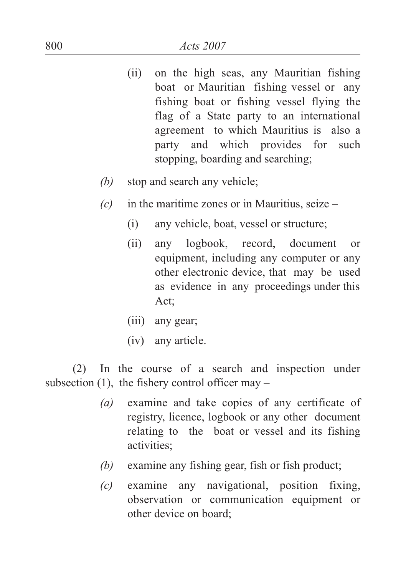- (ii) on the high seas, any Mauritian fishing boat or Mauritian fishing vessel or any fishing boat or fishing vessel flying the flag of a State party to an international agreement to which Mauritius is also a party and which provides for such stopping, boarding and searching;
- *(b)* stop and search any vehicle;
- *(c)* in the maritime zones or in Mauritius, seize
	- (i) any vehicle, boat, vessel or structure;
	- (ii) any logbook, record, document or equipment, including any computer or any other electronic device, that may be used as evidence in any proceedings under this Act;
	- (iii) any gear;
	- (iv) any article.

(2) In the course of a search and inspection under subsection  $(1)$ , the fishery control officer may –

- *(a)* examine and take copies of any certificate of registry, licence, logbook or any other document relating to the boat or vessel and its fishing activities;
- *(b)* examine any fishing gear, fish or fish product;
- *(c)* examine any navigational, position fixing, observation or communication equipment or other device on board;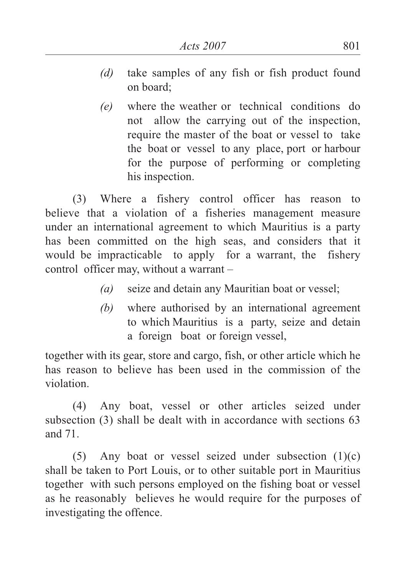- *(d)* take samples of any fish or fish product found on board;
- *(e)* where the weather or technical conditions do not allow the carrying out of the inspection, require the master of the boat or vessel to take the boat or vessel to any place, port or harbour for the purpose of performing or completing his inspection.

(3) Where a fishery control officer has reason to believe that a violation of a fisheries management measure under an international agreement to which Mauritius is a party has been committed on the high seas, and considers that it would be impracticable to apply for a warrant, the fishery control officer may, without a warrant –

- *(a)* seize and detain any Mauritian boat or vessel;
- *(b)* where authorised by an international agreement to which Mauritius is a party, seize and detain a foreign boat or foreign vessel,

together with its gear, store and cargo, fish, or other article which he has reason to believe has been used in the commission of the violation.

(4) Any boat, vessel or other articles seized under subsection (3) shall be dealt with in accordance with sections 63 and 71.

(5) Any boat or vessel seized under subsection  $(1)(c)$ shall be taken to Port Louis, or to other suitable port in Mauritius together with such persons employed on the fishing boat or vessel as he reasonably believes he would require for the purposes of investigating the offence.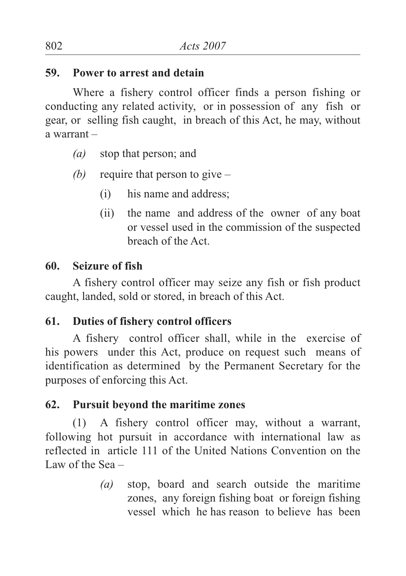#### **59. Power to arrest and detain**

Where a fishery control officer finds a person fishing or conducting any related activity, or in possession of any fish or gear, or selling fish caught, in breach of this Act, he may, without a warrant –

- *(a)* stop that person; and
- *(b)* require that person to give
	- (i) his name and address;
	- (ii) the name and address of the owner of any boat or vessel used in the commission of the suspected breach of the Act.

## **60. Seizure of fish**

A fishery control officer may seize any fish or fish product caught, landed, sold or stored, in breach of this Act.

#### **61. Duties of fishery control officers**

A fishery control officer shall, while in the exercise of his powers under this Act, produce on request such means of identification as determined by the Permanent Secretary for the purposes of enforcing this Act.

## **62. Pursuit beyond the maritime zones**

(1) A fishery control officer may, without a warrant, following hot pursuit in accordance with international law as reflected in article 111 of the United Nations Convention on the Law of the Sea –

> *(a)* stop, board and search outside the maritime zones, any foreign fishing boat or foreign fishing vessel which he has reason to believe has been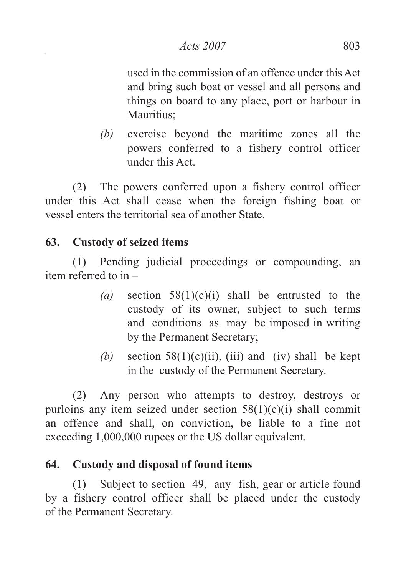used in the commission of an offence under this Act and bring such boat or vessel and all persons and things on board to any place, port or harbour in Mauritius;

*(b)* exercise beyond the maritime zones all the powers conferred to a fishery control officer under this Act.

(2) The powers conferred upon a fishery control officer under this Act shall cease when the foreign fishing boat or vessel enters the territorial sea of another State.

# **63. Custody of seized items**

(1) Pending judicial proceedings or compounding, an item referred to in –

- *(a)* section 58(1)(c)(i) shall be entrusted to the custody of its owner, subject to such terms and conditions as may be imposed in writing by the Permanent Secretary;
- (b) section  $58(1)(c)(ii)$ , (iii) and (iv) shall be kept in the custody of the Permanent Secretary.

(2) Any person who attempts to destroy, destroys or purloins any item seized under section  $58(1)(c)(i)$  shall commit an offence and shall, on conviction, be liable to a fine not exceeding 1,000,000 rupees or the US dollar equivalent.

# **64. Custody and disposal of found items**

(1) Subject to section 49, any fish, gear or article found by a fishery control officer shall be placed under the custody of the Permanent Secretary.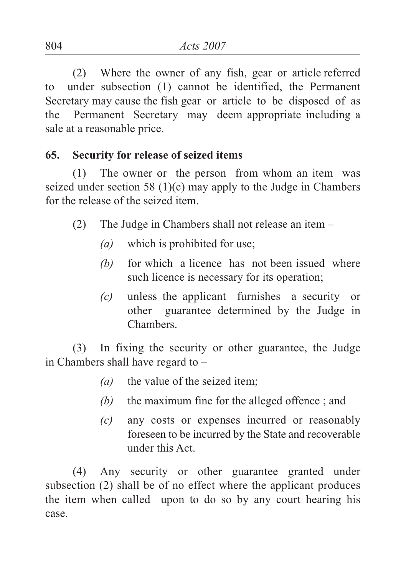(2) Where the owner of any fish, gear or article referred to under subsection (1) cannot be identified, the Permanent Secretary may cause the fish gear or article to be disposed of as the Permanent Secretary may deem appropriate including a sale at a reasonable price.

#### **65. Security for release of seized items**

(1) The owner or the person from whom an item was seized under section 58 (1)(c) may apply to the Judge in Chambers for the release of the seized item.

- (2) The Judge in Chambers shall not release an item
	- *(a)* which is prohibited for use;
	- *(b)* for which a licence has not been issued where such licence is necessary for its operation;
	- *(c)* unless the applicant furnishes a security or other guarantee determined by the Judge in Chambers.

(3) In fixing the security or other guarantee, the Judge in Chambers shall have regard to –

- *(a)* the value of the seized item;
- *(b)* the maximum fine for the alleged offence ; and
- *(c)* any costs or expenses incurred or reasonably foreseen to be incurred by the State and recoverable under this Act.

(4) Any security or other guarantee granted under subsection (2) shall be of no effect where the applicant produces the item when called upon to do so by any court hearing his case.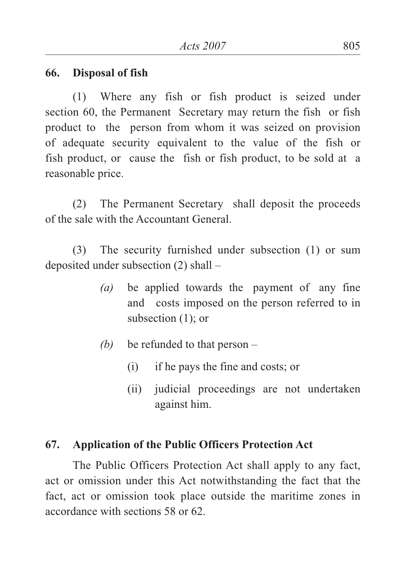#### **66. Disposal of fish**

(1) Where any fish or fish product is seized under section 60, the Permanent Secretary may return the fish or fish product to the person from whom it was seized on provision of adequate security equivalent to the value of the fish or fish product, or cause the fish or fish product, to be sold at a reasonable price.

(2) The Permanent Secretary shall deposit the proceeds of the sale with the Accountant General.

(3) The security furnished under subsection (1) or sum deposited under subsection (2) shall –

- *(a)* be applied towards the payment of any fine and costs imposed on the person referred to in subsection (1); or
- *(b)* be refunded to that person
	- (i) if he pays the fine and costs; or
	- (ii) judicial proceedings are not undertaken against him.

#### **67. Application of the Public Officers Protection Act**

The Public Officers Protection Act shall apply to any fact, act or omission under this Act notwithstanding the fact that the fact, act or omission took place outside the maritime zones in accordance with sections 58 or 62.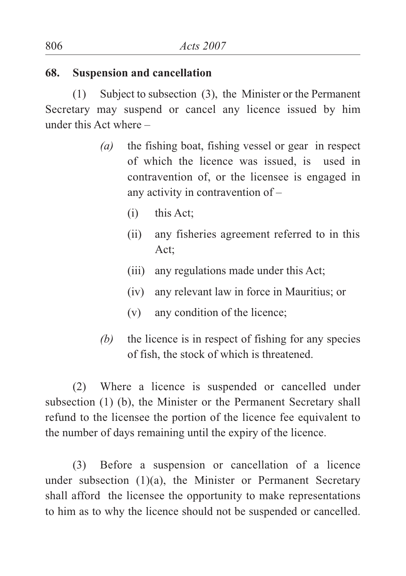#### **68. Suspension and cancellation**

(1) Subject to subsection (3), the Minister or the Permanent Secretary may suspend or cancel any licence issued by him under this Act where –

- *(a)* the fishing boat, fishing vessel or gear in respect of which the licence was issued, is used in contravention of, or the licensee is engaged in any activity in contravention of –
	- (i) this Act;
	- (ii) any fisheries agreement referred to in this Act;
	- (iii) any regulations made under this Act;
	- (iv) any relevant law in force in Mauritius; or
	- (v) any condition of the licence;
- *(b)* the licence is in respect of fishing for any species of fish, the stock of which is threatened.

(2) Where a licence is suspended or cancelled under subsection (1) (b), the Minister or the Permanent Secretary shall refund to the licensee the portion of the licence fee equivalent to the number of days remaining until the expiry of the licence.

(3) Before a suspension or cancellation of a licence under subsection (1)(a), the Minister or Permanent Secretary shall afford the licensee the opportunity to make representations to him as to why the licence should not be suspended or cancelled.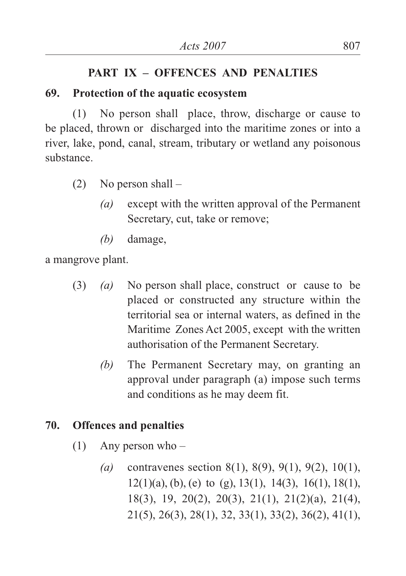## **PART IX – OFFENCES AND PENALTIES**

#### **69. Protection of the aquatic ecosystem**

(1) No person shall place, throw, discharge or cause to be placed, thrown or discharged into the maritime zones or into a river, lake, pond, canal, stream, tributary or wetland any poisonous substance.

- (2) No person shall
	- *(a)* except with the written approval of the Permanent Secretary, cut, take or remove;
	- *(b)* damage,

a mangrove plant.

- (3) *(a)* No person shall place, construct or cause to be placed or constructed any structure within the territorial sea or internal waters, as defined in the Maritime Zones Act 2005, except with the written authorisation of the Permanent Secretary.
	- *(b)* The Permanent Secretary may, on granting an approval under paragraph (a) impose such terms and conditions as he may deem fit.

# **70. Offences and penalties**

- (1) Any person who
	- *(a)* contravenes section 8(1), 8(9), 9(1), 9(2), 10(1),  $12(1)(a)$ , (b), (e) to (g), 13(1), 14(3), 16(1), 18(1), 18(3), 19, 20(2), 20(3), 21(1), 21(2)(a), 21(4), 21(5), 26(3), 28(1), 32, 33(1), 33(2), 36(2), 41(1),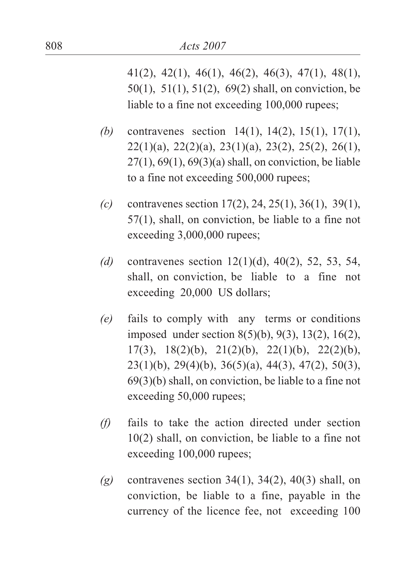41(2), 42(1), 46(1), 46(2), 46(3), 47(1), 48(1), 50(1), 51(1), 51(2), 69(2) shall, on conviction, be liable to a fine not exceeding 100,000 rupees;

- *(b)* contravenes section 14(1), 14(2), 15(1), 17(1),  $22(1)(a)$ ,  $22(2)(a)$ ,  $23(1)(a)$ ,  $23(2)$ ,  $25(2)$ ,  $26(1)$ , 27(1), 69(1), 69(3)(a) shall, on conviction, be liable to a fine not exceeding 500,000 rupees;
- *(c)* contravenes section 17(2), 24, 25(1), 36(1), 39(1), 57(1), shall, on conviction, be liable to a fine not exceeding 3,000,000 rupees;
- *(d)* contravenes section 12(1)(d), 40(2), 52, 53, 54, shall, on conviction, be liable to a fine not exceeding 20,000 US dollars;
- *(e)* fails to comply with any terms or conditions imposed under section 8(5)(b), 9(3), 13(2), 16(2), 17(3), 18(2)(b), 21(2)(b), 22(1)(b), 22(2)(b),  $23(1)(b)$ ,  $29(4)(b)$ ,  $36(5)(a)$ ,  $44(3)$ ,  $47(2)$ ,  $50(3)$ , 69(3)(b) shall, on conviction, be liable to a fine not exceeding 50,000 rupees;
- *(f)* fails to take the action directed under section 10(2) shall, on conviction, be liable to a fine not exceeding 100,000 rupees;
- *(g)* contravenes section 34(1), 34(2), 40(3) shall, on conviction, be liable to a fine, payable in the currency of the licence fee, not exceeding 100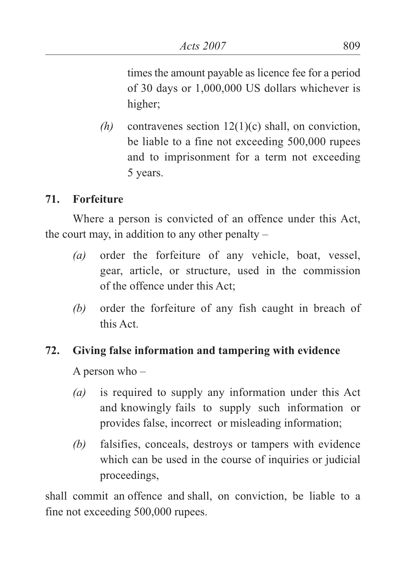times the amount payable as licence fee for a period of 30 days or 1,000,000 US dollars whichever is higher;

*(h)* contravenes section 12(1)(c) shall, on conviction, be liable to a fine not exceeding 500,000 rupees and to imprisonment for a term not exceeding 5 years.

# **71. Forfeiture**

Where a person is convicted of an offence under this Act, the court may, in addition to any other penalty –

- *(a)* order the forfeiture of any vehicle, boat, vessel, gear, article, or structure, used in the commission of the offence under this Act;
- *(b)* order the forfeiture of any fish caught in breach of this Act.

# **72. Giving false information and tampering with evidence**

A person who –

- *(a)* is required to supply any information under this Act and knowingly fails to supply such information or provides false, incorrect or misleading information;
- *(b)* falsifies, conceals, destroys or tampers with evidence which can be used in the course of inquiries or judicial proceedings,

shall commit an offence and shall, on conviction, be liable to a fine not exceeding 500,000 rupees.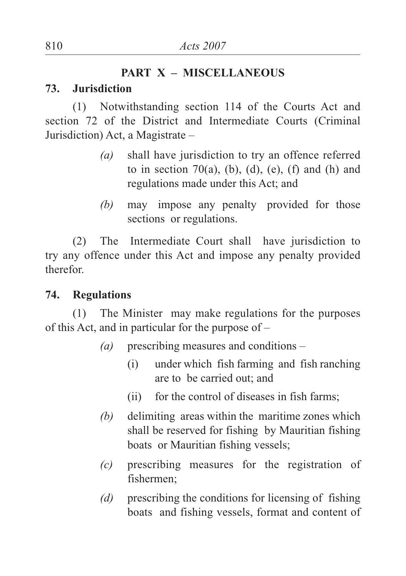#### **PART X – MISCELLANEOUS**

## **73. Jurisdiction**

(1) Notwithstanding section 114 of the Courts Act and section 72 of the District and Intermediate Courts (Criminal Jurisdiction) Act, a Magistrate –

- *(a)* shall have jurisdiction to try an offence referred to in section  $70(a)$ , (b), (d), (e), (f) and (h) and regulations made under this Act; and
- *(b)* may impose any penalty provided for those sections or regulations.

(2) The Intermediate Court shall have jurisdiction to try any offence under this Act and impose any penalty provided therefor.

## **74. Regulations**

(1) The Minister may make regulations for the purposes of this Act, and in particular for the purpose of –

- *(a)* prescribing measures and conditions
	- (i) under which fish farming and fish ranching are to be carried out; and
	- (ii) for the control of diseases in fish farms;
- *(b)* delimiting areas within the maritime zones which shall be reserved for fishing by Mauritian fishing boats or Mauritian fishing vessels;
- *(c)* prescribing measures for the registration of fishermen;
- *(d)* prescribing the conditions for licensing of fishing boats and fishing vessels, format and content of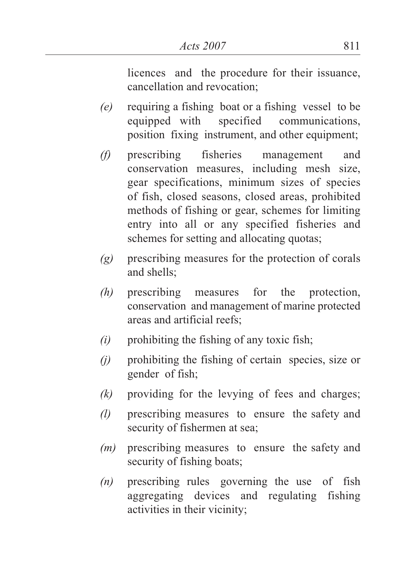licences and the procedure for their issuance, cancellation and revocation;

- *(e)* requiring a fishing boat or a fishing vessel to be equipped with specified communications, position fixing instrument, and other equipment;
- *(f)* prescribing fisheries management and conservation measures, including mesh size, gear specifications, minimum sizes of species of fish, closed seasons, closed areas, prohibited methods of fishing or gear, schemes for limiting entry into all or any specified fisheries and schemes for setting and allocating quotas;
- *(g)* prescribing measures for the protection of corals and shells;
- *(h)* prescribing measures for the protection, conservation and management of marine protected areas and artificial reefs;
- *(i)* prohibiting the fishing of any toxic fish;
- *(j)* prohibiting the fishing of certain species, size or gender of fish;
- *(k)* providing for the levying of fees and charges;
- *(l)* prescribing measures to ensure the safety and security of fishermen at sea;
- *(m)* prescribing measures to ensure the safety and security of fishing boats;
- *(n)* prescribing rules governing the use of fish aggregating devices and regulating fishing activities in their vicinity;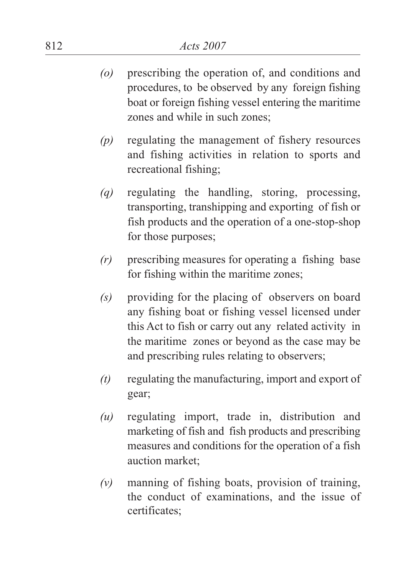- *(o)* prescribing the operation of, and conditions and procedures, to be observed by any foreign fishing boat or foreign fishing vessel entering the maritime zones and while in such zones;
- *(p)* regulating the management of fishery resources and fishing activities in relation to sports and recreational fishing;
- *(q)* regulating the handling, storing, processing, transporting, transhipping and exporting of fish or fish products and the operation of a one-stop-shop for those purposes;
- *(r)* prescribing measures for operating a fishing base for fishing within the maritime zones;
- *(s)* providing for the placing of observers on board any fishing boat or fishing vessel licensed under this Act to fish or carry out any related activity in the maritime zones or beyond as the case may be and prescribing rules relating to observers;
- *(t)* regulating the manufacturing, import and export of gear;
- *(u)* regulating import, trade in, distribution and marketing of fish and fish products and prescribing measures and conditions for the operation of a fish auction market;
- *(v)* manning of fishing boats, provision of training, the conduct of examinations, and the issue of certificates;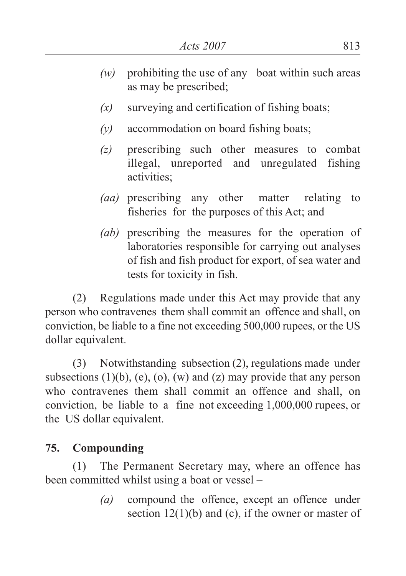- *(w)* prohibiting the use of any boat within such areas as may be prescribed;
- *(x)* surveying and certification of fishing boats;
- *(y)* accommodation on board fishing boats;
- *(z)* prescribing such other measures to combat illegal, unreported and unregulated fishing activities;
- *(aa)* prescribing any other matter relating to fisheries for the purposes of this Act; and
- *(ab)* prescribing the measures for the operation of laboratories responsible for carrying out analyses of fish and fish product for export, of sea water and tests for toxicity in fish.

(2) Regulations made under this Act may provide that any person who contravenes them shall commit an offence and shall, on conviction, be liable to a fine not exceeding 500,000 rupees, or the US dollar equivalent.

(3) Notwithstanding subsection (2), regulations made under subsections  $(1)(b)$ ,  $(e)$ ,  $(0)$ ,  $(w)$  and  $(z)$  may provide that any person who contravenes them shall commit an offence and shall, on conviction, be liable to a fine not exceeding 1,000,000 rupees, or the US dollar equivalent.

# **75. Compounding**

(1) The Permanent Secretary may, where an offence has been committed whilst using a boat or vessel –

> *(a)* compound the offence, except an offence under section  $12(1)(b)$  and (c), if the owner or master of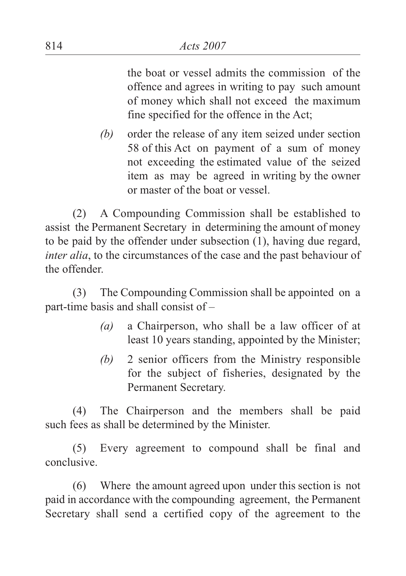the boat or vessel admits the commission of the offence and agrees in writing to pay such amount of money which shall not exceed the maximum fine specified for the offence in the Act;

*(b)* order the release of any item seized under section 58 of this Act on payment of a sum of money not exceeding the estimated value of the seized item as may be agreed in writing by the owner or master of the boat or vessel.

(2) A Compounding Commission shall be established to assist the Permanent Secretary in determining the amount of money to be paid by the offender under subsection (1), having due regard, *inter alia*, to the circumstances of the case and the past behaviour of the offender.

(3) The Compounding Commission shall be appointed on a part-time basis and shall consist of –

- *(a)* a Chairperson, who shall be a law officer of at least 10 years standing, appointed by the Minister;
- *(b)* 2 senior officers from the Ministry responsible for the subject of fisheries, designated by the Permanent Secretary.

(4) The Chairperson and the members shall be paid such fees as shall be determined by the Minister.

(5) Every agreement to compound shall be final and conclusive.

(6) Where the amount agreed upon under this section is not paid in accordance with the compounding agreement, the Permanent Secretary shall send a certified copy of the agreement to the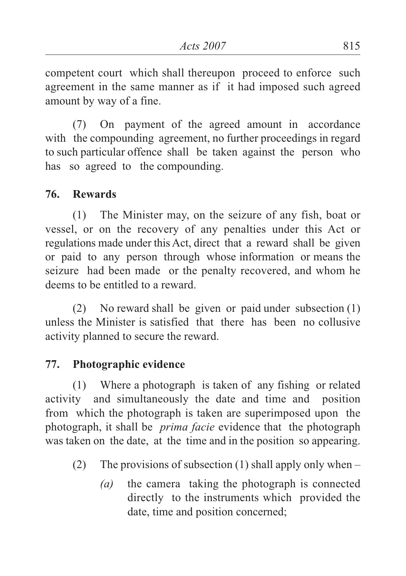competent court which shall thereupon proceed to enforce such agreement in the same manner as if it had imposed such agreed amount by way of a fine.

(7) On payment of the agreed amount in accordance with the compounding agreement, no further proceedings in regard to such particular offence shall be taken against the person who has so agreed to the compounding.

## **76. Rewards**

(1) The Minister may, on the seizure of any fish, boat or vessel, or on the recovery of any penalties under this Act or regulations made under this Act, direct that a reward shall be given or paid to any person through whose information or means the seizure had been made or the penalty recovered, and whom he deems to be entitled to a reward.

(2) No reward shall be given or paid under subsection (1) unless the Minister is satisfied that there has been no collusive activity planned to secure the reward.

## **77. Photographic evidence**

(1) Where a photograph is taken of any fishing or related activity and simultaneously the date and time and position from which the photograph is taken are superimposed upon the photograph, it shall be *prima facie* evidence that the photograph was taken on the date, at the time and in the position so appearing.

- (2) The provisions of subsection (1) shall apply only when  $-$ 
	- *(a)* the camera taking the photograph is connected directly to the instruments which provided the date, time and position concerned;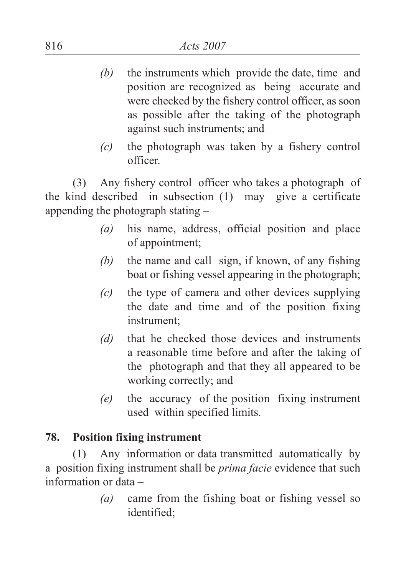- *(b)* the instruments which provide the date, time and position are recognized as being accurate and were checked by the fishery control officer, as soon as possible after the taking of the photograph against such instruments; and
- *(c)* the photograph was taken by a fishery control officer.

(3) Any fishery control officer who takes a photograph of the kind described in subsection (1) may give a certificate appending the photograph stating –

- *(a)* his name, address, official position and place of appointment;
- *(b)* the name and call sign, if known, of any fishing boat or fishing vessel appearing in the photograph;
- *(c)* the type of camera and other devices supplying the date and time and of the position fixing instrument;
- *(d)* that he checked those devices and instruments a reasonable time before and after the taking of the photograph and that they all appeared to be working correctly; and
- *(e)* the accuracy of the position fixing instrument used within specified limits.

## **78. Position fixing instrument**

(1) Any information or data transmitted automatically by a position fixing instrument shall be *prima facie* evidence that such information or data –

> *(a)* came from the fishing boat or fishing vessel so identified;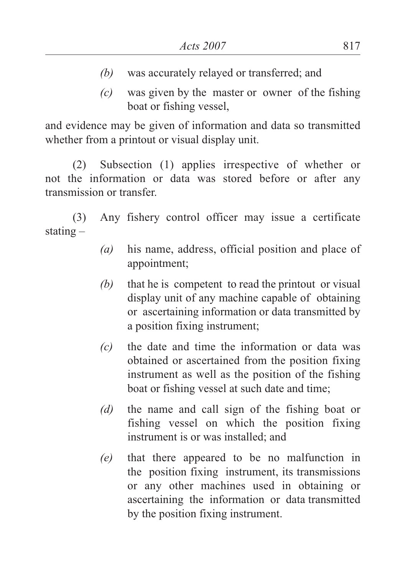- *(b)* was accurately relayed or transferred; and
- *(c)* was given by the master or owner of the fishing boat or fishing vessel,

and evidence may be given of information and data so transmitted whether from a printout or visual display unit.

(2) Subsection (1) applies irrespective of whether or not the information or data was stored before or after any transmission or transfer.

(3) Any fishery control officer may issue a certificate stating –

- *(a)* his name, address, official position and place of appointment;
- *(b)* that he is competent to read the printout or visual display unit of any machine capable of obtaining or ascertaining information or data transmitted by a position fixing instrument;
- *(c)* the date and time the information or data was obtained or ascertained from the position fixing instrument as well as the position of the fishing boat or fishing vessel at such date and time;
- *(d)* the name and call sign of the fishing boat or fishing vessel on which the position fixing instrument is or was installed; and
- *(e)* that there appeared to be no malfunction in the position fixing instrument, its transmissions or any other machines used in obtaining or ascertaining the information or data transmitted by the position fixing instrument.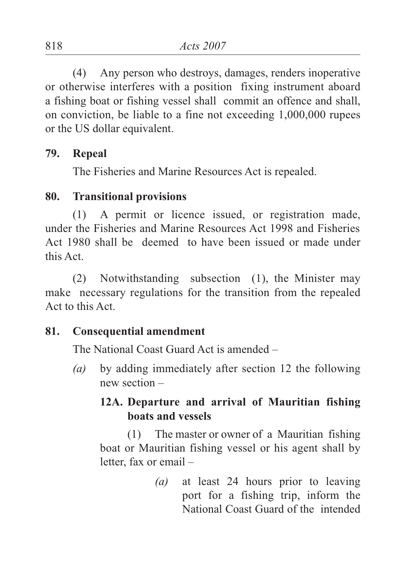(4) Any person who destroys, damages, renders inoperative or otherwise interferes with a position fixing instrument aboard a fishing boat or fishing vessel shall commit an offence and shall, on conviction, be liable to a fine not exceeding 1,000,000 rupees or the US dollar equivalent.

#### **79. Repeal**

The Fisheries and Marine Resources Act is repealed.

#### **80. Transitional provisions**

(1) A permit or licence issued, or registration made, under the Fisheries and Marine Resources Act 1998 and Fisheries Act 1980 shall be deemed to have been issued or made under this Act.

(2) Notwithstanding subsection (1), the Minister may make necessary regulations for the transition from the repealed Act to this Act.

#### **81. Consequential amendment**

The National Coast Guard Act is amended –

*(a)* by adding immediately after section 12 the following new section –

# **12A. Departure and arrival of Mauritian fishing boats and vessels**

(1) The master or owner of a Mauritian fishing boat or Mauritian fishing vessel or his agent shall by letter, fax or email –

> *(a)* at least 24 hours prior to leaving port for a fishing trip, inform the National Coast Guard of the intended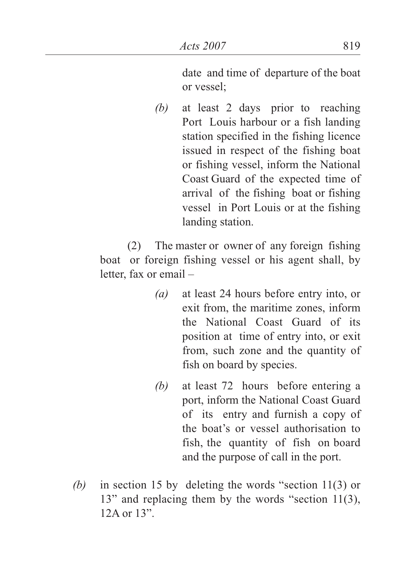date and time of departure of the boat or vessel;

*(b)* at least 2 days prior to reaching Port Louis harbour or a fish landing station specified in the fishing licence issued in respect of the fishing boat or fishing vessel, inform the National Coast Guard of the expected time of arrival of the fishing boat or fishing vessel in Port Louis or at the fishing landing station.

(2) The master or owner of any foreign fishing boat or foreign fishing vessel or his agent shall, by letter, fax or email –

- *(a)* at least 24 hours before entry into, or exit from, the maritime zones, inform the National Coast Guard of its position at time of entry into, or exit from, such zone and the quantity of fish on board by species.
- *(b)* at least 72 hours before entering a port, inform the National Coast Guard of its entry and furnish a copy of the boat's or vessel authorisation to fish, the quantity of fish on board and the purpose of call in the port.
- *(b)* in section 15 by deleting the words "section 11(3) or 13" and replacing them by the words "section 11(3), 12A or 13".